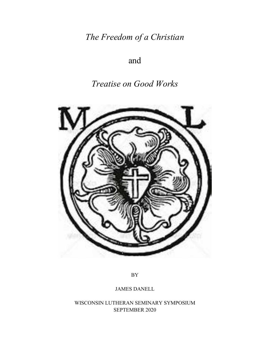*The Freedom of a Christian*

# and

# *Treatise on Good Works*



BY

JAMES DANELL

WISCONSIN LUTHERAN SEMINARY SYMPOSIUM SEPTEMBER 2020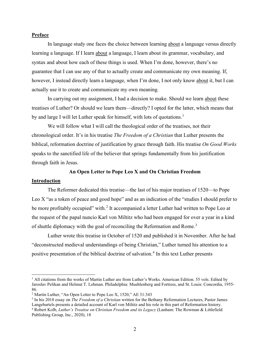### **Preface**

In language study one faces the choice between learning about a language versus directly learning a language. If I learn about a language, I learn about its grammar, vocabulary, and syntax and about how each of these things is used. When I'm done, however, there's no guarantee that I can use any of that to actually create and communicate my own meaning. If, however, I instead directly learn a language, when I'm done, I not only know about it, but I can actually use it to create and communicate my own meaning.

In carrying out my assignment, I had a decision to make. Should we learn about these treatises of Luther? Or should we learn them—directly? I opted for the latter, which means that by and large I will let Luther speak for himself, with lots of quotations.<sup>[1](#page-1-0)</sup>

We will follow what I will call the theological order of the treatises, not their chronological order. It's in his treatise *The Freedom of a Christian* that Luther presents the biblical, reformation doctrine of justification by grace through faith. His treatise *On Good Works* speaks to the sanctified life of the believer that springs fundamentally from his justification through faith in Jesus.

#### **An Open Letter to Pope Leo X and On Christian Freedom**

#### **Introduction**

The Reformer dedicated this treatise—the last of his major treatises of 1520—to Pope Leo X "as a token of peace and good hope" and as an indication of the "studies I should prefer to be more profitably occupied" with.<sup>[2](#page-1-1)</sup> It accompanied a letter Luther had written to Pope Leo at the request of the papal nuncio Karl von Miltitz who had been engaged for over a year in a kind of shuttle diplomacy with the goal of reconciling the Reformation and Rome.<sup>[3](#page-1-2)</sup>

Luther wrote this treatise in October of 1520 and published it in November. After he had "deconstructed medieval understandings of being Christian," Luther turned his attention to a positive presentation of the biblical doctrine of salvation.<sup>[4](#page-1-3)</sup> In this text Luther presents

<span id="page-1-0"></span> $<sup>1</sup>$  All citations from the works of Martin Luther are from Luther's Works. American Edition. 55 vols. Edited by</sup> Jaroslav Pelikan and Helmut T. Lehman. Philadelphia: Muehlenberg and Fortress, and St. Louis: Concordia, 1955- 86.

<span id="page-1-1"></span><sup>2</sup> Martin Luther, "An Open Letter to Pope Leo X, 1520," AE 31:343

<span id="page-1-2"></span><sup>3</sup> In his 2018 essay on *The Freedom of a Christian* written for the Bethany Reformation Lectures, Pastor James Langebartels presents a detailed account of Karl von Miltitz and his role in this part of Reformation history.

<span id="page-1-3"></span><sup>4</sup> Robert Kolb, *Luther's Treatise on Christian Freedom and its Legacy* (Lanham: The Rowman & Littlefield Publishing Group, Inc., 2020), 18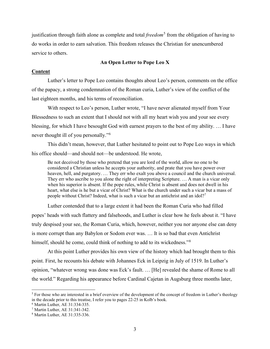justification through faith alone as complete and total *freedom*<sup>[5](#page-2-0)</sup> from the obligation of having to do works in order to earn salvation. This freedom releases the Christian for unencumbered service to others.

#### **An Open Letter to Pope Leo X**

#### **Content**

Luther's letter to Pope Leo contains thoughts about Leo's person, comments on the office of the papacy, a strong condemnation of the Roman curia, Luther's view of the conflict of the last eighteen months, and his terms of reconciliation.

With respect to Leo's person, Luther wrote, "I have never alienated myself from Your Blessedness to such an extent that I should not with all my heart wish you and your see every blessing, for which I have besought God with earnest prayers to the best of my ability. … I have never thought ill of you personally."[6](#page-2-1)

This didn't mean, however, that Luther hesitated to point out to Pope Leo ways in which his office should—and should not—be understood. He wrote,

Be not deceived by those who pretend that you are lord of the world, allow no one to be considered a Christian unless he accepts your authority, and prate that you have power over heaven, hell, and purgatory. … They err who exalt you above a council and the church universal. They err who ascribe to you alone the right of interpreting Scripture. … A man is a vicar only when his superior is absent. If the pope rules, while Christ is absent and does not dwell in his heart, what else is he but a vicar of Christ? What is the church under such a vicar but a mass of people without Christ? Indeed, what is such a vicar but an antichrist and an idol?<sup>[7](#page-2-2)</sup>

Luther contended that to a large extent it had been the Roman Curia who had filled popes' heads with such flattery and falsehoods, and Luther is clear how he feels about it. "I have truly despised your see, the Roman Curia, which, however, neither you nor anyone else can deny is more corrupt than any Babylon or Sodom ever was. … It is so bad that even Antichrist himself, should he come, could think of nothing to add to its wickedness."<sup>[8](#page-2-3)</sup>

At this point Luther provides his own view of the history which had brought them to this point. First, he recounts his debate with Johannes Eck in Leipzig in July of 1519. In Luther's opinion, "whatever wrong was done was Eck's fault. … [He] revealed the shame of Rome to all the world." Regarding his appearance before Cardinal Cajetan in Augsburg three months later,

<span id="page-2-0"></span><sup>&</sup>lt;sup>5</sup> For those who are interested in a brief overview of the development of the concept of freedom in Luther's theology in the decade prior to this treatise, I refer you to pages 22-25 in Kolb's book.

<span id="page-2-1"></span><sup>6</sup> Martin Luther, AE 31:334-335.

<span id="page-2-2"></span><sup>7</sup> Martin Luther, AE 31:341-342.

<span id="page-2-3"></span><sup>8</sup> Martin Luther, AE 31:335-336.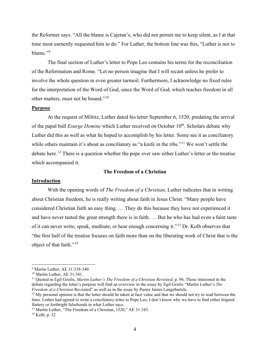the Reformer says. "All the blame is Cajetan's, who did not permit me to keep silent, as I at that time most earnestly requested him to do." For Luther, the bottom line was this, "Luther is not to blame."[9](#page-3-0)

The final section of Luther's letter to Pope Leo contains his terms for the reconciliation of the Reformation and Rome. "Let no person imagine that I will recant unless he prefer to involve the whole question in even greater turmoil. Furthermore, I acknowledge no fixed rules for the interpretation of the Word of God, since the Word of God, which teaches freedom in all other matters, must not be bound."[10](#page-3-1)

#### **Purpose**

At the request of Miltitz, Luther dated his letter September 6, 1520, predating the arrival of the papal bull *Exurge Domine* which Luther received on October 10<sup>th</sup>. Scholars debate why Luther did this as well as what he hoped to accomplish by his letter. Some see it as conciliatory while others maintain it's about as conciliatory as "a knife in the ribs."<sup>[11](#page-3-2)</sup> We won't settle the debate here.<sup>[12](#page-3-3)</sup> There is a question whether the pope ever saw either Luther's letter or the treatise which accompanied it.

#### **The Freedom of a Christian**

#### **Introduction**

With the opening words of *The Freedom of a Christian*, Luther indicates that in writing about Christian freedom, he is really writing about faith in Jesus Christ. "Many people have considered Christian faith an easy thing. … They do this because they have not experienced it and have never tasted the great strength there is in faith. … But he who has had even a faint taste of it can never write, speak, meditate, or hear enough concerning it."[13](#page-3-4) Dr. Kolb observes that "the first half of the treatise focuses on faith more than on the liberating work of Christ that is the object of that faith."[14](#page-3-5)

<span id="page-3-0"></span><sup>9</sup> Martin Luther, AE 31:338-340.

<span id="page-3-1"></span><sup>10</sup> Martin Luther, AE 31:341.

<span id="page-3-2"></span><sup>11</sup> Quoted in Egil Grislis, *Martin Luther's The Freedom of a Christian Revisited*, p. 96. Those interested in the debate regarding the letter's purpose will find an overview in the essay by Egil Grislis "Martin Luther's *The Freedom of a Christian* Revisited" as well as in the essay by Pastor James Langebartels.

<span id="page-3-3"></span> $12$  My personal opinion is that the letter should be taken at face value and that we should not try to read between the lines. Luther had agreed to write a conciliatory letter to Pope Leo. I don't know why we have to find either feigned flattery or forthright falsehoods in what Luther says.

<span id="page-3-4"></span> $13$  Martin Luther, "The Freedom of a Christian, 1520," AE 31:343.

<span id="page-3-5"></span><sup>14</sup> Kolb, p. 32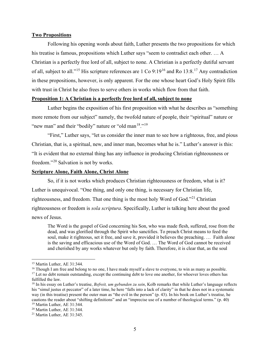#### **Two Propositions**

Following his opening words about faith, Luther presents the two propositions for which his treatise is famous, propositions which Luther says "seem to contradict each other. … A Christian is a perfectly free lord of all, subject to none. A Christian is a perfectly dutiful servant of all, subject to all."[15](#page-4-0) His scripture references are 1 Co 9:19[16](#page-4-1) and Ro 13:8.[17](#page-4-2) Any contradiction in these propositions, however, is only apparent. For the one whose heart God's Holy Spirit fills with trust in Christ he also frees to serve others in works which flow from that faith.

# **Proposition 1: A Christian is a perfectly free lord of all, subject to none**

Luther begins the exposition of his first proposition with what he describes as "something more remote from our subject" namely, the twofold nature of people, their "spiritual" nature or "new man" and their "bodily" nature or "old man $18.^{19}$  $18.^{19}$  $18.^{19}$  $18.^{19}$ ."

"First," Luther says, "let us consider the inner man to see how a righteous, free, and pious Christian, that is, a spiritual, new, and inner man, becomes what he is." Luther's answer is this: "It is evident that no external thing has any influence in producing Christian righteousness or freedom."[20](#page-4-5) Salvation is not by works.

#### **Scripture Alone, Faith Alone, Christ Alone**

So, if it is not works which produces Christian righteousness or freedom, what is it? Luther is unequivocal. "One thing, and only one thing, is necessary for Christian life, righteousness, and freedom. That one thing is the most holy Word of God."[21](#page-4-6) Christian righteousness or freedom is *sola scriptura*. Specifically, Luther is talking here about the good news of Jesus.

The Word is the gospel of God concerning his Son, who was made flesh, suffered, rose from the dead, and was glorified through the Spirit who sanctifies. To preach Christ means to feed the soul, make it righteous, set it free, and save it, provided it believes the preaching. … Faith alone is the saving and efficacious use of the Word of God. … The Word of God cannot be received and cherished by any works whatever but only by faith. Therefore, it is clear that, as the soul

<span id="page-4-0"></span><sup>&</sup>lt;sup>15</sup> Martin Luther, AE 31:344.

<span id="page-4-1"></span><sup>&</sup>lt;sup>16</sup> Though I am free and belong to no one, I have made myself a slave to everyone, to win as many as possible. <sup>17</sup> Let no debt remain outstanding, except the continuing debt to love one another, for whoever loves others has

<span id="page-4-2"></span>fulfilled the law.

<span id="page-4-3"></span><sup>18</sup> In his essay on Luther's treatise, *Befreit, um gebunden zu sein*, Kolb remarks that while Luther's language reflects his "simul justus et peccator" of a later time, he here "falls into a lack of clarity" in that he does not in a systematic way (in this treatise) present the outer man as "the evil in the person" (p. 43). In his book on Luther's treatise, he cautions the reader about "shifting definitions" and an "imprecise use of a number of theological terms." (p. 40) <sup>19</sup> Martin Luther, AE 31:344.

<span id="page-4-5"></span><span id="page-4-4"></span><sup>20</sup> Martin Luther, AE 31:344.

<span id="page-4-6"></span><sup>21</sup> Martin Luther, AE 31:345.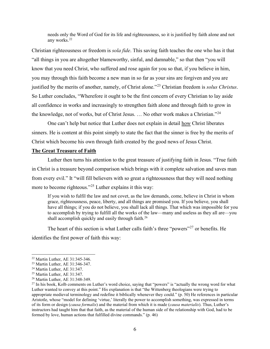needs only the Word of God for its life and righteousness, so it is justified by faith alone and not any works.[22](#page-5-0)

Christian righteousness or freedom is *sola fide*. This saving faith teaches the one who has it that "all things in you are altogether blameworthy, sinful, and damnable," so that then "you will know that you need Christ, who suffered and rose again for you so that, if you believe in him, you may through this faith become a new man in so far as your sins are forgiven and you are justified by the merits of another, namely, of Christ alone."[23](#page-5-1) Christian freedom is *solus Christus*. So Luther concludes, "Wherefore it ought to be the first concern of every Christian to lay aside all confidence in works and increasingly to strengthen faith alone and through faith to grow in the knowledge, not of works, but of Christ Jesus. … No other work makes a Christian."[24](#page-5-2)

One can't help but notice that Luther does not explain in detail how Christ liberates sinners. He is content at this point simply to state the fact that the sinner is free by the merits of Christ which become his own through faith created by the good news of Jesus Christ.

# **The Great Treasure of Faith**

Luther then turns his attention to the great treasure of justifying faith in Jesus. "True faith in Christ is a treasure beyond comparison which brings with it complete salvation and saves man from every evil." It "will fill believers with so great a righteousness that they will need nothing more to become righteous."[25](#page-5-3) Luther explains it this way:

If you wish to fulfil the law and not covet, as the law demands, come, believe in Christ in whom grace, righteousness, peace, liberty, and all things are promised you. If you believe, you shall have all things; if you do not believe, you shall lack all things. That which was impossible for you to accomplish by trying to fulfill all the works of the law—many and useless as they all are—you shall accomplish quickly and easily through faith.<sup>[26](#page-5-4)</sup>

The heart of this section is what Luther calls faith's three "powers"<sup>[27](#page-5-5)</sup> or benefits. He identifies the first power of faith this way:

<span id="page-5-0"></span><sup>22</sup> Martin Luther, AE 31:345-346.

<span id="page-5-1"></span><sup>23</sup> Martin Luther, AE 31:346-347.

<span id="page-5-2"></span><sup>24</sup> Martin Luther, AE 31:347.

<span id="page-5-3"></span><sup>25</sup> Martin Luther, AE 31:347.

<span id="page-5-4"></span><sup>26</sup> Martin Luther, AE 31:348-349.

<span id="page-5-5"></span><sup>&</sup>lt;sup>27</sup> In his book, Kolb comments on Luther's word choice, saying that "powers" is "actually the wrong word for what Luther wanted to convey at this point." His explanation is that "the Wittenberg theologians were trying to appropriate medieval terminology and redefine it biblically whenever they could." (p. 50) He references in particular Aristotle, whose "model for defining 'virtue,' literally the power to accomplish something, was expressed in terms of its form or design (*causa formalis*) and the material from which it is made (*causa materialis*). Thus, Luther's instructors had taught him that that faith, as the material of the human side of the relationship with God, had to be formed by love, human actions that fulfilled divine commands." (p. 46)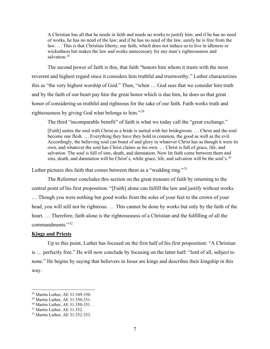A Christian has all that he needs in faith and needs no works to justify him; and if he has no need of works, he has no need of the law; and if he has no need of the law, surely he is free from the law. … This is that Christian liberty, our faith, which does not induce us to live in idleness or wickedness but makes the law and works unnecessary for any man's righteousness and salvation.<sup>[28](#page-6-0)</sup>

The second power of faith is this, that faith "honors him whom it trusts with the most reverent and highest regard since it considers him truthful and trustworthy." Luther characterizes this as "the very highest worship of God." Then, "when … God sees that we consider him truth and by the faith of our heart pay him the great honor which is due him, he does us that great honor of considering us truthful and righteous for the sake of our faith. Faith works truth and righteousness by giving God what belongs to him."[29](#page-6-1)

The third "incomparable benefit" of faith is what we today call the "great exchange."

[Faith] unites the soul with Christ as a bride is united with her bridegroom. … Christ and the soul become one flesh. … Everything they have they hold in common, the good as well as the evil. Accordingly, the believing soul can boast of and glory in whatever Christ has as though it were its own, and whatever the soul has Christ claims as his own. … Christ is full of grace, life, and salvation. The soul is full of sins, death, and damnation. Now let faith come between them and sins, death, and damnation will be Christ's, while grace, life, and salvation will be the soul's.<sup>[30](#page-6-2)</sup>

Luther pictures this faith that comes between them as a "wedding ring."<sup>[31](#page-6-3)</sup>

The Reformer concludes this section on the great treasure of faith by returning to the central point of his first proposition. "[Faith] alone can fulfill the law and justify without works. … Though you were nothing but good works from the soles of your feet to the crown of your head, you will still not be righteous. … This cannot be done by works but only by the faith of the heart. … Therefore, faith alone is the righteousness of a Christian and the fulfilling of all the commandments."[32](#page-6-4)

#### **Kings and Priests**

Up to this point, Luther has focused on the first half of his first proposition: "A Christian is … perfectly free." He will now conclude by focusing on the latter half: "lord of all, subject to none." He begins by saying that believers in Jesus are kings and describes their kingship in this way.

<span id="page-6-0"></span><sup>28</sup> Martin Luther, AE 31:349-350.

<span id="page-6-1"></span><sup>29</sup> Martin Luther, AE 31:350-351.

<span id="page-6-2"></span><sup>30</sup> Martin Luther, AE 31:350-351.

<span id="page-6-3"></span><sup>&</sup>lt;sup>31</sup> Martin Luther, AE 31:352.

<span id="page-6-4"></span><sup>32</sup> Martin Luther, AE 31:352-353.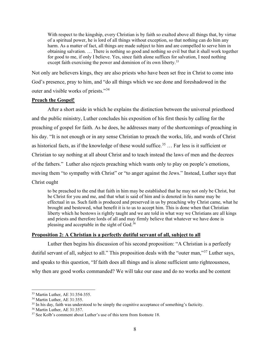With respect to the kingship, every Christian is by faith so exalted above all things that, by virtue of a spiritual power, he is lord of all things without exception, so that nothing can do him any harm. As a matter of fact, all things are made subject to him and are compelled to serve him in obtaining salvation. … There is nothing so good and nothing so evil but that it shall work together for good to me, if only I believe. Yes, since faith alone suffices for salvation, I need nothing except faith exercising the power and dominion of its own liberty.<sup>[33](#page-7-0)</sup>

Not only are believers kings, they are also priests who have been set free in Christ to come into God's presence, pray to him, and "do all things which we see done and foreshadowed in the outer and visible works of priests."[34](#page-7-1)

# **Preach the Gospel!**

After a short aside in which he explains the distinction between the universal priesthood and the public ministry, Luther concludes his exposition of his first thesis by calling for the preaching of gospel for faith. As he does, he addresses many of the shortcomings of preaching in his day. "It is not enough or in any sense Christian to preach the works, life, and words of Christ as historical facts, as if the knowledge of these would suffice.<sup>[35](#page-7-2)</sup>  $\ldots$  Far less is it sufficient or Christian to say nothing at all about Christ and to teach instead the laws of men and the decrees of the fathers." Luther also rejects preaching which wants only to play on people's emotions, moving them "to sympathy with Christ" or "to anger against the Jews." Instead, Luther says that Christ ought

to be preached to the end that faith in him may be established that he may not only be Christ, but be Christ for you and me, and that what is said of him and is denoted in his name may be effectual in us. Such faith is produced and preserved in us by preaching why Christ came, what he brought and bestowed, what benefit it is to us to accept him. This is done when that Christian liberty which he bestows is rightly taught and we are told in what way we Christians are all kings and priests and therefore lords of all and may firmly believe that whatever we have done is pleasing and acceptable in the sight of God. $36$ 

# **Proposition 2: A Christian is a perfectly dutiful servant of all, subject to all**

Luther then begins his discussion of his second proposition: "A Christian is a perfectly dutiful servant of all, subject to all." This proposition deals with the "outer man,"<sup>[37](#page-7-4)</sup> Luther says, and speaks to this question, "If faith does all things and is alone sufficient unto righteousness, why then are good works commanded? We will take our ease and do no works and be content

<span id="page-7-0"></span><sup>33</sup> Martin Luther, AE 31:354-355.

<span id="page-7-1"></span><sup>34</sup> Martin Luther, AE 31:355.

<span id="page-7-2"></span><sup>&</sup>lt;sup>35</sup> In his day, faith was understood to be simply the cognitive acceptance of something's facticity.

<span id="page-7-3"></span><sup>36</sup> Martin Luther, AE 31:357.

<span id="page-7-4"></span><sup>&</sup>lt;sup>37</sup> See Kolb's comment about Luther's use of this term from footnote 18.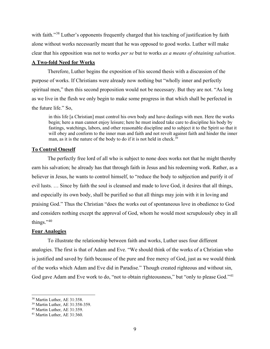with faith."<sup>[38](#page-8-0)</sup> Luther's opponents frequently charged that his teaching of justification by faith alone without works necessarily meant that he was opposed to good works. Luther will make clear that his opposition was not to works *per se* but to works *as a means of obtaining salvation*.

#### **A Two-fold Need for Works**

Therefore, Luther begins the exposition of his second thesis with a discussion of the purpose of works. If Christians were already now nothing but "wholly inner and perfectly spiritual men," then this second proposition would not be necessary. But they are not. "As long as we live in the flesh we only begin to make some progress in that which shall be perfected in the future life." So,

in this life [a Christian] must control his own body and have dealings with men. Here the works begin; here a man cannot enjoy leisure; here he must indeed take care to discipline his body by fastings, watchings, labors, and other reasonable discipline and to subject it to the Spirit so that it will obey and conform to the inner man and faith and not revolt against faith and hinder the inner man, as it is the nature of the body to do if it is not held in check.<sup>[39](#page-8-1)</sup>

#### **To Control Oneself**

The perfectly free lord of all who is subject to none does works not that he might thereby earn his salvation; he already has that through faith in Jesus and his redeeming work. Rather, as a believer in Jesus, he wants to control himself, to "reduce the body to subjection and purify it of evil lusts. … Since by faith the soul is cleansed and made to love God, it desires that all things, and especially its own body, shall be purified so that all things may join with it in loving and praising God." Thus the Christian "does the works out of spontaneous love in obedience to God and considers nothing except the approval of God, whom he would most scrupulously obey in all things." $40$ 

#### **Four Analogies**

To illustrate the relationship between faith and works, Luther uses four different analogies. The first is that of Adam and Eve. "We should think of the works of a Christian who is justified and saved by faith because of the pure and free mercy of God, just as we would think of the works which Adam and Eve did in Paradise." Though created righteous and without sin, God gave Adam and Eve work to do, "not to obtain righteousness," but "only to please God."<sup>[41](#page-8-3)</sup>

<span id="page-8-0"></span><sup>38</sup> Martin Luther, AE 31:358.

<span id="page-8-1"></span><sup>39</sup> Martin Luther, AE 31:358-359.

<span id="page-8-2"></span><sup>40</sup> Martin Luther, AE 31:359.

<span id="page-8-3"></span><sup>41</sup> Martin Luther, AE 31:360.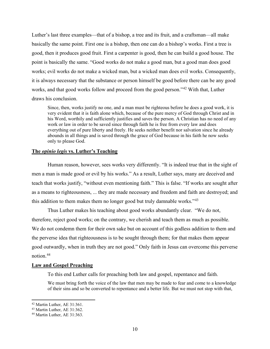Luther's last three examples—that of a bishop, a tree and its fruit, and a craftsman—all make basically the same point. First one is a bishop, then one can do a bishop's works. First a tree is good, then it produces good fruit. First a carpenter is good, then he can build a good house. The point is basically the same. "Good works do not make a good man, but a good man does good works; evil works do not make a wicked man, but a wicked man does evil works. Consequently, it is always necessary that the substance or person himself be good before there can be any good works, and that good works follow and proceed from the good person."<sup>[42](#page-9-0)</sup> With that, Luther draws his conclusion.

Since, then, works justify no one, and a man must be righteous before he does a good work, it is very evident that it is faith alone which, because of the pure mercy of God through Christ and in his Word, worthily and sufficiently justifies and saves the person. A Christian has no need of any work or law in order to be saved since through faith he is free from every law and does everything out of pure liberty and freely. He seeks neither benefit nor salvation since he already abounds in all things and is saved through the grace of God because in his faith he now seeks only to please God.

# **The** *opinio legis* **vs. Luther's Teaching**

Human reason, however, sees works very differently. "It is indeed true that in the sight of men a man is made good or evil by his works." As a result, Luther says, many are deceived and teach that works justify, "without even mentioning faith." This is false. "If works are sought after as a means to righteousness, ... they are made necessary and freedom and faith are destroyed; and this addition to them makes them no longer good but truly damnable works."<sup>[43](#page-9-1)</sup>

Thus Luther makes his teaching about good works abundantly clear. "We do not, therefore, reject good works; on the contrary, we cherish and teach them as much as possible. We do not condemn them for their own sake but on account of this godless addition to them and the perverse idea that righteousness is to be sought through them; for that makes them appear good outwardly, when in truth they are not good." Only faith in Jesus can overcome this perverse notion.[44](#page-9-2)

#### **Law and Gospel Preaching**

To this end Luther calls for preaching both law and gospel, repentance and faith.

We must bring forth the voice of the law that men may be made to fear and come to a knowledge of their sins and so be converted to repentance and a better life. But we must not stop with that,

<span id="page-9-0"></span><sup>42</sup> Martin Luther, AE 31:361.

<span id="page-9-1"></span><sup>43</sup> Martin Luther, AE 31:362.

<span id="page-9-2"></span><sup>44</sup> Martin Luther, AE 31:363.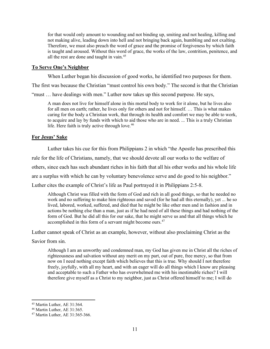for that would only amount to wounding and not binding up, smiting and not healing, killing and not making alive, leading down into hell and not bringing back again, humbling and not exalting. Therefore, we must also preach the word of grace and the promise of forgiveness by which faith is taught and aroused. Without this word of grace, the works of the law, contrition, penitence, and all the rest are done and taught in vain.<sup>[45](#page-10-0)</sup>

# **To Serve One's Neighbor**

When Luther began his discussion of good works, he identified two purposes for them.

The first was because the Christian "must control his own body." The second is that the Christian

"must … have dealings with men." Luther now takes up this second purpose. He says,

A man does not live for himself alone in this mortal body to work for it alone, but he lives also for all men on earth; rather, he lives only for others and not for himself. … This is what makes caring for the body a Christian work, that through its health and comfort we may be able to work, to acquire and lay by funds with which to aid those who are in need. ... This is a truly Christian life. Here faith is truly active through love.<sup>[46](#page-10-1)</sup>

# **For Jesus' Sake**

Luther takes his cue for this from Philippians 2 in which "the Apostle has prescribed this

rule for the life of Christians, namely, that we should devote all our works to the welfare of

others, since each has such abundant riches in his faith that all his other works and his whole life

are a surplus with which he can by voluntary benevolence serve and do good to his neighbor."

Luther cites the example of Christ's life as Paul portrayed it in Philippians 2:5-8.

Although Christ was filled with the form of God and rich in all good things, so that he needed no work and no suffering to make him righteous and saved (for he had all this eternally), yet ... he so lived, labored, worked, suffered, and died that he might be like other men and in fashion and in actions be nothing else than a man, just as if he had need of all these things and had nothing of the form of God. But he did all this for our sake, that he might serve us and that all things which he accomplished in this form of a servant might become ours.<sup>[47](#page-10-2)</sup>

Luther cannot speak of Christ as an example, however, without also proclaiming Christ as the

Savior from sin.

Although I am an unworthy and condemned man, my God has given me in Christ all the riches of righteousness and salvation without any merit on my part, out of pure, free mercy, so that from now on I need nothing except faith which believes that this is true. Why should I not therefore freely, joyfully, with all my heart, and with an eager will do all things which I know are pleasing and acceptable to such a Father who has overwhelmed me with his inestimable riches? I will therefore give myself as a Christ to my neighbor, just as Christ offered himself to me; I will do

<span id="page-10-0"></span><sup>45</sup> Martin Luther, AE 31:364.

<span id="page-10-1"></span><sup>46</sup> Martin Luther, AE 31:365.

<span id="page-10-2"></span><sup>47</sup> Martin Luther, AE 31:365-366.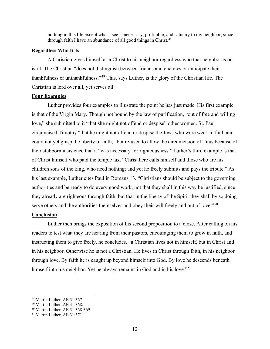nothing in this life except what I see is necessary, profitable, and salutary to my neighbor, since through faith I have an abundance of all good things in Christ.<sup>[48](#page-11-0)</sup>

#### **Regardless Who It Is**

A Christian gives himself as a Christ to his neighbor regardless who that neighbor is or isn't. The Christian "does not distinguish between friends and enemies or anticipate their thankfulness or unthankfulness."[49](#page-11-1) This, says Luther, is the glory of the Christian life. The Christian is lord over all, yet serves all.

# **Four Examples**

Luther provides four examples to illustrate the point he has just made. His first example is that of the Virgin Mary. Though not bound by the law of purification, "out of free and willing love," she submitted to it "that she might not offend or despise" other women. St. Paul circumcised Timothy "that he might not offend or despise the Jews who were weak in faith and could not yet grasp the liberty of faith," but refused to allow the circumcision of Titus because of their stubborn insistence that it "was necessary for righteousness." Luther's third example is that of Christ himself who paid the temple tax. "Christ here calls himself and those who are his children sons of the king, who need nothing; and yet he freely submits and pays the tribute." As his last example, Luther cites Paul in Romans 13. "Christians should be subject to the governing authorities and be ready to do every good work, not that they shall in this way be justified, since they already are righteous through faith, but that in the liberty of the Spirit they shall by so doing serve others and the authorities themselves and obey their will freely and out of love."<sup>[50](#page-11-2)</sup>

# **Conclusion**

Luther then brings the exposition of his second proposition to a close. After calling on his readers to test what they are hearing from their pastors, encouraging them to grow in faith, and instructing them to give freely, he concludes, "a Christian lives not in himself, but in Christ and in his neighbor. Otherwise he is not a Christian. He lives in Christ through faith, in his neighbor through love. By faith he is caught up beyond himself into God. By love he descends beneath himself into his neighbor. Yet he always remains in God and in his love."<sup>[51](#page-11-3)</sup>

<span id="page-11-0"></span><sup>48</sup> Martin Luther, AE 31:367.

<span id="page-11-1"></span><sup>49</sup> Martin Luther, AE 31:368.

<span id="page-11-2"></span><sup>50</sup> Martin Luther, AE 31:368-369.

<span id="page-11-3"></span><sup>51</sup> Martin Luther, AE 31:371.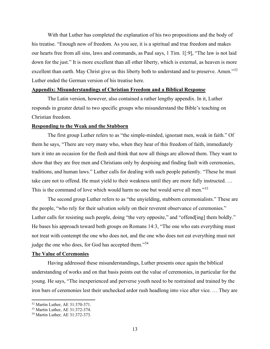With that Luther has completed the explanation of his two propositions and the body of his treatise. "Enough now of freedom. As you see, it is a spiritual and true freedom and makes our hearts free from all sins, laws and commands, as Paul says, 1 Tim. 1[:9], "The law is not laid down for the just." It is more excellent than all other liberty, which is external, as heaven is more excellent than earth. May Christ give us this liberty both to understand and to preserve. Amen."<sup>[52](#page-12-0)</sup> Luther ended the German version of his treatise here.

#### **Appendix: Misunderstandings of Christian Freedom and a Biblical Response**

The Latin version, however, also contained a rather lengthy appendix. In it, Luther responds in greater detail to two specific groups who misunderstand the Bible's teaching on Christian freedom.

#### **Responding to the Weak and the Stubborn**

The first group Luther refers to as "the simple-minded, ignorant men, weak in faith." Of them he says, "There are very many who, when they hear of this freedom of faith, immediately turn it into an occasion for the flesh and think that now all things are allowed them. They want to show that they are free men and Christians only by despising and finding fault with ceremonies, traditions, and human laws." Luther calls for dealing with such people patiently. "These he must take care not to offend. He must yield to their weakness until they are more fully instructed. … This is the command of love which would harm no one but would serve all men."<sup>[53](#page-12-1)</sup>

The second group Luther refers to as "the unyielding, stubborn ceremonialists." These are the people, "who rely for their salvation solely on their reverent observance of ceremonies." Luther calls for resisting such people, doing "the very opposite," and "offend[ing] them boldly." He bases his approach toward both groups on Romans 14:3, "The one who eats everything must not treat with contempt the one who does not, and the one who does not eat everything must not judge the one who does, for God has accepted them."<sup>[54](#page-12-2)</sup>

#### **The Value of Ceremonies**

Having addressed these misunderstandings, Luther presents once again the biblical understanding of works and on that basis points out the value of ceremonies, in particular for the young. He says, "The inexperienced and perverse youth need to be restrained and trained by the iron bars of ceremonies lest their unchecked ardor rush headlong into vice after vice. … They are

<span id="page-12-0"></span><sup>52</sup> Martin Luther, AE 31:370-371.

<span id="page-12-1"></span><sup>53</sup> Martin Luther, AE 31:372-374.

<span id="page-12-2"></span><sup>54</sup> Martin Luther, AE 31:372-373.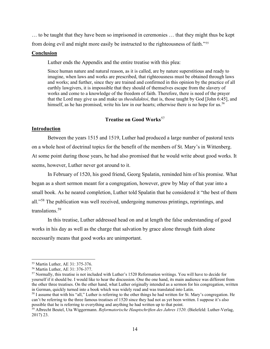… to be taught that they have been so imprisoned in ceremonies … that they might thus be kept from doing evil and might more easily be instructed to the righteousness of faith."[55](#page-13-0)

# **Conclusion**

Luther ends the Appendix and the entire treatise with this plea:

Since human nature and natural reason, as it is called, are by nature superstitious and ready to imagine, when laws and works are prescribed, that righteousness must be obtained through laws and works; and further, since they are trained and confirmed in this opinion by the practice of all earthly lawgivers, it is impossible that they should of themselves escape from the slavery of works and come to a knowledge of the freedom of faith. Therefore, there is need of the prayer that the Lord may give us and make us *theodidaktoi*, that is, those taught by God [John 6:45], and himself, as he has promised, write his law in our hearts; otherwise there is no hope for us.<sup>[56](#page-13-1)</sup>

# **Treatise on Good Works**[57](#page-13-2)

# **Introduction**

Between the years 1515 and 1519, Luther had produced a large number of pastoral texts on a whole host of doctrinal topics for the benefit of the members of St. Mary's in Wittenberg. At some point during those years, he had also promised that he would write about good works. It seems, however, Luther never got around to it.

In February of 1520, his good friend, Georg Spalatin, reminded him of his promise. What began as a short sermon meant for a congregation, however, grew by May of that year into a small book. As he neared completion, Luther told Spalatin that he considered it "the best of them all."[58](#page-13-3) The publication was well received, undergoing numerous printings, reprintings, and translations.[59](#page-13-4)

In this treatise, Luther addressed head on and at length the false understanding of good works in his day as well as the charge that salvation by grace alone through faith alone necessarily means that good works are unimportant.

<span id="page-13-0"></span><sup>55</sup> Martin Luther, AE 31: 375-376.

<span id="page-13-1"></span><sup>56</sup> Martin Luther, AE 31: 376-377.

<span id="page-13-2"></span><sup>57</sup> Normally, this treatise is not included with Luther's 1520 Reformation writings. You will have to decide for yourself if it should be. I would like to hear the discussion. One the one hand, its main audience was different from the other three treatises. On the other hand, what Luther originally intended as a sermon for his congregation, written in German, quickly turned into a book which was widely read and was translated into Latin.

<span id="page-13-3"></span><sup>&</sup>lt;sup>58</sup> I assume that with his "all," Luther is referring to the other things he had written for St. Mary's congregation. He can't be referring to the three famous treatises of 1520 since they had not as yet been written. I suppose it's also possible that he is referring to everything and anything he had written up to that point.

<span id="page-13-4"></span><sup>59</sup> Albrecht Beutel, Uta Wiggermann. *Reformatorische Hauptschriften des Jahres 1520*. (Bielefeld: Luther-Verlag, 2017) 23.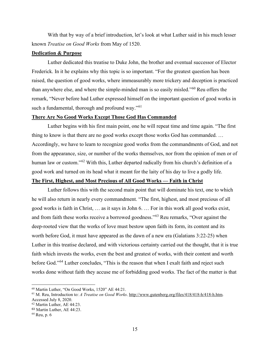With that by way of a brief introduction, let's look at what Luther said in his much lesser known *Treatise on Good Works* from May of 1520.

# **Dedication & Purpose**

Luther dedicated this treatise to Duke John, the brother and eventual successor of Elector Frederick. In it he explains why this topic is so important. "For the greatest question has been raised, the question of good works, where immeasurably more trickery and deception is practiced than anywhere else, and where the simple-minded man is so easily misled."[60](#page-14-0) Reu offers the remark, "Never before had Luther expressed himself on the important question of good works in such a fundamental, thorough and profound way."<sup>[61](#page-14-1)</sup>

#### **There Are No Good Works Except Those God Has Commanded**

Luther begins with his first main point, one he will repeat time and time again. "The first thing to know is that there are no good works except those works God has commanded. … Accordingly, we have to learn to recognize good works from the commandments of God, and not from the appearance, size, or number of the works themselves, nor from the opinion of men or of human law or custom."<sup>[62](#page-14-2)</sup> With this, Luther departed radically from his church's definition of a good work and turned on its head what it meant for the laity of his day to live a godly life.

# **The First, Highest, and Most Precious of All Good Works — Faith in Christ**

Luther follows this with the second main point that will dominate his text, one to which he will also return in nearly every commandment. "The first, highest, and most precious of all good works is faith in Christ, … as it says in John 6. … For in this work all good works exist, and from faith these works receive a borrowed goodness."[63](#page-14-3) Reu remarks, "Over against the deep-rooted view that the works of love must bestow upon faith its form, its content and its worth before God, it must have appeared as the dawn of a new era (Galatians 3:22-25) when Luther in this treatise declared, and with victorious certainty carried out the thought, that it is true faith which invests the works, even the best and greatest of works, with their content and worth before God."[64](#page-14-4) Luther concludes, "This is the reason that when I exalt faith and reject such works done without faith they accuse me of forbidding good works. The fact of the matter is that

<span id="page-14-0"></span><sup>60</sup> Martin Luther, "On Good Works, 1520" AE 44:21.

<span id="page-14-1"></span><sup>61</sup> M. Reu, Introduction to: *A Treatise on Good Works*. http://www.gutenberg.org/files/418/418-h/418-h.htm. Accessed July 8, 2020.

<span id="page-14-2"></span><sup>62</sup> Martin Luther, AE 44:23.

<span id="page-14-3"></span><sup>63</sup> Martin Luther, AE 44:23.

<span id="page-14-4"></span><sup>64</sup> Reu, p. 6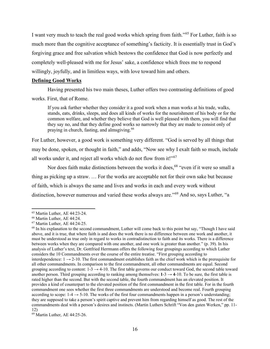I want very much to teach the real good works which spring from faith."[65](#page-15-0) For Luther, faith is so much more than the cognitive acceptance of something's facticity. It is essentially trust in God's forgiving grace and free salvation which bestows the confidence that God is now perfectly and completely well-pleased with me for Jesus' sake, a confidence which frees me to respond willingly, joyfully, and in limitless ways, with love toward him and others.

#### **Defining Good Works**

Having presented his two main theses, Luther offers two contrasting definitions of good

works. First, that of Rome.

If you ask further whether they consider it a good work when a man works at his trade, walks, stands, eats, drinks, sleeps, and does all kinds of works for the nourishment of his body or for the common welfare, and whether they believe that God is well pleased with them, you will find that they say no, and that they define good works so narrowly that they are made to consist only of praying in church, fasting, and almsgiving.[66](#page-15-1)

For Luther, however, a good work is something very different. "God is served by all things that may be done, spoken, or thought in faith," and adds, "Now see why I exalt faith so much, include all works under it, and reject all works which do not flow from it!"<sup>[67](#page-15-2)</sup>

Nor does faith make distinctions between the works it does,  $68$  "even if it were so small a thing as picking up a straw. … For the works are acceptable not for their own sake but because of faith, which is always the same and lives and works in each and every work without distinction, however numerous and varied these works always are."<sup>[69](#page-15-4)</sup> And so, says Luther, "a

<span id="page-15-0"></span><sup>65</sup> Martin Luther, AE 44:23-24.

<span id="page-15-1"></span><sup>66</sup> Martin Luther, AE 44:24.

<span id="page-15-2"></span><sup>67</sup> Martin Luther, AE 44:24-25.

<span id="page-15-3"></span><sup>&</sup>lt;sup>68</sup> In his explanation to the second commandment, Luther will come back to this point but say, "Though I have said above, and it is true, that where faith is and does the work there is no difference between one work and another, it must be understood as true only in regard to works in contradistinction to faith and its works. There is a difference between works when they are compared with one another, and one work is greater than another." (p. 39). In his analysis of Luther's text, Dr. Gottfried Herrmann offers the following four groupings according to which Luther considers the 10 Commandments over the course of the entire treatise. "First grouping according to interdependence:  $1 \rightarrow 2$ -10. The first commandment establishes faith as the chief work which is the prerequisite for all other commandments. In comparison to the first commandment, all other commandments are equal. Second grouping according to content:  $1-3 \rightarrow 4-10$ . The first table governs our conduct toward God, the second table toward another person. Third grouping according to ranking among themselves:  $1-3 \rightarrow 4-10$ . To be sure, the first table is rated higher than the second. But with the second table, the fourth commandment has an elevated position. It provides a kind of counterpart to the elevated position of the first commandment in the first table. For in the fourth commandment one sees whether the first three commandments are understood and become real. Fourth grouping according to scope:  $1-4 \rightarrow 5-10$ . The works of the first four commandments happen in a person's understanding; they are supposed to take a person's spirit captive and prevent him from regarding himself as good. The rest of the commandments deal with a person's desires and instincts. (Martin Luthers Schrift "Von den guten Werken," pp. 11- 12)

<span id="page-15-4"></span><sup>69</sup> Martin Luther, AE 44:25-26.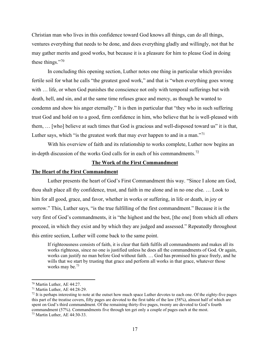Christian man who lives in this confidence toward God knows all things, can do all things, ventures everything that needs to be done, and does everything gladly and willingly, not that he may gather merits and good works, but because it is a pleasure for him to please God in doing these things."<sup>[70](#page-16-0)</sup>

In concluding this opening section, Luther notes one thing in particular which provides fertile soil for what he calls "the greatest good work," and that is "when everything goes wrong with ... life, or when God punishes the conscience not only with temporal sufferings but with death, hell, and sin, and at the same time refuses grace and mercy, as though he wanted to condemn and show his anger eternally." It is then in particular that "they who in such suffering trust God and hold on to a good, firm confidence in him, who believe that he is well-pleased with them, … [who] believe at such times that God is gracious and well-disposed toward us" it is that, Luther says, which "is the greatest work that may ever happen to and in a man."<sup>[71](#page-16-1)</sup>

With his overview of faith and its relationship to works complete, Luther now begins an in-depth discussion of the works God calls for in each of his commandments.<sup>[72](#page-16-2)</sup>

# **The Work of the First Commandment**

#### **The Heart of the First Commandment**

Luther presents the heart of God's First Commandment this way. "Since I alone am God, thou shalt place all thy confidence, trust, and faith in me alone and in no one else. … Look to him for all good, grace, and favor, whether in works or suffering, in life or death, in joy or sorrow." This, Luther says, "is the true fulfilling of the first commandment." Because it is the very first of God's commandments, it is "the highest and the best, [the one] from which all others proceed, in which they exist and by which they are judged and assessed." Repeatedly throughout this entire section, Luther will come back to the same point.

If righteousness consists of faith, it is clear that faith fulfils all commandments and makes all its works righteous, since no one is justified unless he does all the commandments of God. Or again, works can justify no man before God without faith. … God has promised his grace freely, and he wills that we start by trusting that grace and perform all works in that grace, whatever those works may be.<sup>[73](#page-16-3)</sup>

<span id="page-16-0"></span><sup>70</sup> Martin Luther, AE 44:27.

<span id="page-16-1"></span><sup>71</sup> Martin Luther, AE 44:28-29.

<span id="page-16-2"></span> $<sup>72</sup>$  It is perhaps interesting to note at the outset how much space Luther devotes to each one. Of the eighty-five pages</sup> this part of the treatise covers, fifty pages are devoted to the first table of the law (58%), almost half of which are spent on God's third commandment. Of the remaining thirty-five pages, twenty are devoted to God's fourth commandment (57%). Commandments five through ten get only a couple of pages each at the most.

<span id="page-16-3"></span><sup>73</sup> Martin Luther, AE 44:30-33.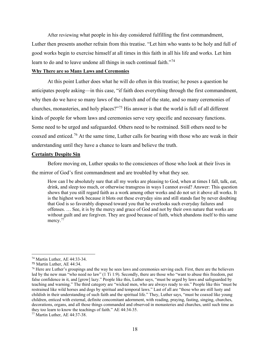After reviewing what people in his day considered fulfilling the first commandment, Luther then presents another refrain from this treatise. "Let him who wants to be holy and full of good works begin to exercise himself at all times in this faith in all his life and works. Let him learn to do and to leave undone all things in such continual faith."<sup>[74](#page-17-0)</sup>

### **Why There are so Many Laws and Ceremonies**

At this point Luther does what he will do often in this treatise; he poses a question he anticipates people asking—in this case, "if faith does everything through the first commandment, why then do we have so many laws of the church and of the state, and so many ceremonies of churches, monasteries, and holy places?"[75](#page-17-1) His answer is that the world is full of all different kinds of people for whom laws and ceremonies serve very specific and necessary functions. Some need to be urged and safeguarded. Others need to be restrained. Still others need to be coaxed and enticed.[76](#page-17-2) At the same time, Luther calls for bearing with those who are weak in their understanding until they have a chance to learn and believe the truth.

# **Certainty Despite Sin**

Before moving on, Luther speaks to the consciences of those who look at their lives in

the mirror of God's first commandment and are troubled by what they see.

How can I be absolutely sure that all my works are pleasing to God, when at times I fall, talk, eat, drink, and sleep too much, or otherwise transgress in ways I cannot avoid? Answer: This question shows that you still regard faith as a work among other works and do not set it above all works. It is the highest work because it blots out these everyday sins and still stands fast by never doubting that God is so favorably disposed toward you that he overlooks such everyday failures and offenses. … See, it is by the mercy and grace of God and not by their own nature that works are without guilt and are forgiven. They are good because of faith, which abandons itself to this same mercy.<sup>[77](#page-17-3)</sup>

<span id="page-17-0"></span><sup>74</sup> Martin Luther, AE 44:33-34.

<span id="page-17-1"></span><sup>75</sup> Martin Luther, AE 44:34.

<span id="page-17-2"></span><sup>&</sup>lt;sup>76</sup> Here are Luther's groupings and the way he sees laws and ceremonies serving each. First, there are the believers led by the new man "who need no law" (1 Ti 1:9). Secondly, there are those who "want to abuse this freedom, put false confidence in it, and [grow] lazy." People like this, Luther says, "must be urged by laws and safeguarded by teaching and warning." The third category are "wicked men, who are always ready to sin." People like this "must be restrained like wild horses and dogs by spiritual and temporal laws." Last of all are "those who are still lusty and childish in their understanding of such faith and the spiritual life." They, Luther says, "must be coaxed like young children, enticed with external, definite concomitant adornment, with reading, praying, fasting, singing, churches, decorations, organs, and all those things commanded and observed in monasteries and churches, until such time as they too learn to know the teachings of faith." AE 44:34-35.

<span id="page-17-3"></span><sup>77</sup> Martin Luther, AE 44:37-38.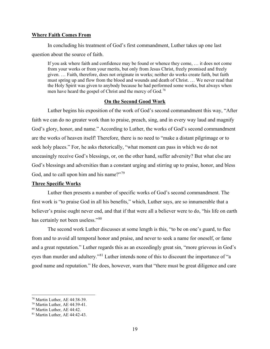#### **Where Faith Comes From**

In concluding his treatment of God's first commandment, Luther takes up one last question about the source of faith.

If you ask where faith and confidence may be found or whence they come, … it does not come from your works or from your merits, but only from Jesus Christ, freely promised and freely given. … Faith, therefore, does not originate in works; neither do works create faith, but faith must spring up and flow from the blood and wounds and death of Christ. … We never read that the Holy Spirit was given to anybody because he had performed some works, but always when men have heard the gospel of Christ and the mercy of God.<sup>[78](#page-18-0)</sup>

#### **On the Second Good Work**

Luther begins his exposition of the work of God's second commandment this way, "After faith we can do no greater work than to praise, preach, sing, and in every way laud and magnify God's glory, honor, and name." According to Luther, the works of God's second commandment are the works of heaven itself! Therefore, there is no need to "make a distant pilgrimage or to seek holy places." For, he asks rhetorically, "what moment can pass in which we do not unceasingly receive God's blessings, or, on the other hand, suffer adversity? But what else are God's blessings and adversities than a constant urging and stirring up to praise, honor, and bless God, and to call upon him and his name?"<sup>[79](#page-18-1)</sup>

# **Three Specific Works**

Luther then presents a number of specific works of God's second commandment. The first work is "to praise God in all his benefits," which, Luther says, are so innumerable that a believer's praise ought never end, and that if that were all a believer were to do, "his life on earth has certainly not been useless."<sup>[80](#page-18-2)</sup>

The second work Luther discusses at some length is this, "to be on one's guard, to flee from and to avoid all temporal honor and praise, and never to seek a name for oneself, or fame and a great reputation." Luther regards this as an exceedingly great sin, "more grievous in God's eyes than murder and adultery."[81](#page-18-3) Luther intends none of this to discount the importance of "a good name and reputation." He does, however, warn that "there must be great diligence and care

<span id="page-18-0"></span><sup>78</sup> Martin Luther, AE 44:38-39.

<span id="page-18-1"></span><sup>79</sup> Martin Luther, AE 44:39-41.

<span id="page-18-2"></span><sup>80</sup> Martin Luther, AE 44:42.

<span id="page-18-3"></span><sup>81</sup> Martin Luther, AE 44:42-43.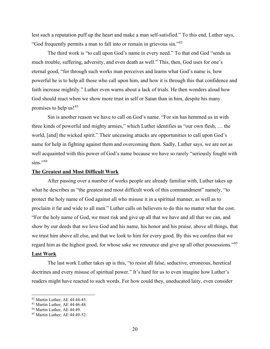lest such a reputation puff up the heart and make a man self-satisfied." To this end, Luther says, "God frequently permits a man to fall into or remain in grievous sin."[82](#page-19-0)

The third work is "to call upon God's name in every need." To that end God "sends us much trouble, suffering, adversity, and even death as well." This, then, God uses for one's eternal good, "for through such works man perceives and learns what God's name is, how powerful he is to help all those who call upon him, and how it is through this that confidence and faith increase mightily." Luther even warns about a lack of trials. He then wonders aloud how God should react when we show more trust in self or Satan than in him, despite his many promises to help us![83](#page-19-1)

Sin is another reason we have to call on God's name. "For sin has hemmed us in with three kinds of powerful and mighty armies," which Luther identifies as "our own flesh, … the world, [and] the wicked spirit." Their unceasing attacks are opportunities to call upon God's name for help in fighting against them and overcoming them. Sadly, Luther says, we are not as well acquainted with this power of God's name because we have so rarely "seriously fought with  $sins.$ "<sup>[84](#page-19-2)</sup>

#### **The Greatest and Most Difficult Work**

After passing over a number of works people are already familiar with, Luther takes up what he describes as "the greatest and most difficult work of this commandment" namely, "to protect the holy name of God against all who misuse it in a spiritual manner, as well as to proclaim it far and wide to all men." Luther calls on believers to do this no matter what the cost. "For the holy name of God, we must risk and give up all that we have and all that we can, and show by our deeds that we love God and his name, his honor and his praise, above all things, that we trust him above all else, and that we look to him for every good. By this we confess that we regard him as the highest good, for whose sake we renounce and give up all other possessions."[85](#page-19-3) **Last Work**

The last work Luther takes up is this, "to resist all false, seductive, erroneous, heretical doctrines and every misuse of spiritual power." It's hard for us to even imagine how Luther's readers might have reacted to such words. For how could they, uneducated laity, even consider

<span id="page-19-0"></span><sup>82</sup> Martin Luther, AE 44:44-45.

<span id="page-19-1"></span><sup>83</sup> Martin Luther, AE 44:46-48.

<span id="page-19-2"></span><sup>&</sup>lt;sup>84</sup> Martin Luther, AE 44:49.

<span id="page-19-3"></span><sup>85</sup> Martin Luther, AE 44:49-52.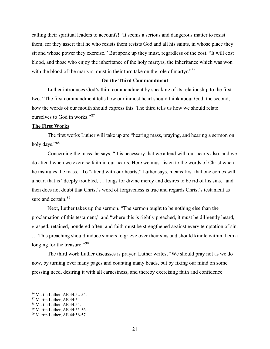calling their spiritual leaders to account?! "It seems a serious and dangerous matter to resist them, for they assert that he who resists them resists God and all his saints, in whose place they sit and whose power they exercise." But speak up they must, regardless of the cost. "It will cost blood, and those who enjoy the inheritance of the holy martyrs, the inheritance which was won with the blood of the martyrs, must in their turn take on the role of martyr."<sup>[86](#page-20-0)</sup>

#### **On the Third Commandment**

Luther introduces God's third commandment by speaking of its relationship to the first two. "The first commandment tells how our inmost heart should think about God; the second, how the words of our mouth should express this. The third tells us how we should relate ourselves to God in works."[87](#page-20-1)

# **The First Works**

The first works Luther will take up are "hearing mass, praying, and hearing a sermon on holy days."[88](#page-20-2)

Concerning the mass, he says, "It is necessary that we attend with our hearts also; and we do attend when we exercise faith in our hearts. Here we must listen to the words of Christ when he institutes the mass." To "attend with our hearts," Luther says, means first that one comes with a heart that is "deeply troubled, … longs for divine mercy and desires to be rid of his sins," and then does not doubt that Christ's word of forgiveness is true and regards Christ's testament as sure and certain.<sup>[89](#page-20-3)</sup>

Next, Luther takes up the sermon. "The sermon ought to be nothing else than the proclamation of this testament," and "where this is rightly preached, it must be diligently heard, grasped, retained, pondered often, and faith must be strengthened against every temptation of sin. … This preaching should induce sinners to grieve over their sins and should kindle within them a longing for the treasure."<sup>[90](#page-20-4)</sup>

The third work Luther discusses is prayer. Luther writes, "We should pray not as we do now, by turning over many pages and counting many beads, but by fixing our mind on some pressing need, desiring it with all earnestness, and thereby exercising faith and confidence

<span id="page-20-0"></span><sup>86</sup> Martin Luther, AE 44:52-54.

<span id="page-20-1"></span><sup>87</sup> Martin Luther, AE 44:54.

<span id="page-20-2"></span><sup>88</sup> Martin Luther, AE 44:54.

<span id="page-20-3"></span><sup>89</sup> Martin Luther, AE 44:55-56.

<span id="page-20-4"></span><sup>90</sup> Martin Luther, AE 44:56-57.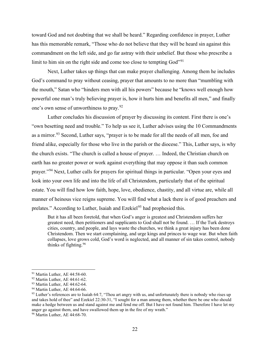toward God and not doubting that we shall be heard." Regarding confidence in prayer, Luther has this memorable remark, "Those who do not believe that they will be heard sin against this commandment on the left side, and go far astray with their unbelief. But those who prescribe a limit to him sin on the right side and come too close to tempting God"<sup>[91](#page-21-0)</sup>

Next, Luther takes up things that can make prayer challenging. Among them he includes God's command to pray without ceasing, prayer that amounts to no more than "mumbling with the mouth," Satan who "hinders men with all his powers" because he "knows well enough how powerful one man's truly believing prayer is, how it hurts him and benefits all men," and finally one's own sense of unworthiness to pray.<sup>[92](#page-21-1)</sup>

Luther concludes his discussion of prayer by discussing its content. First there is one's "own besetting need and trouble." To help us see it, Luther advises using the 10 Commandments as a mirror.<sup>[93](#page-21-2)</sup> Second, Luther says, "prayer is to be made for all the needs of all men, foe and friend alike, especially for those who live in the parish or the diocese." This, Luther says, is why the church exists. "The church is called a house of prayer. … Indeed, the Christian church on earth has no greater power or work against everything that may oppose it than such common prayer."[94](#page-21-3) Next, Luther calls for prayers for spiritual things in particular. "Open your eyes and look into your own life and into the life of all Christendom, particularly that of the spiritual estate. You will find how low faith, hope, love, obedience, chastity, and all virtue are, while all manner of heinous vice reigns supreme. You will find what a lack there is of good preachers and prelates." According to Luther, Isaiah and Ezekiel<sup>[95](#page-21-4)</sup> had prophesied this.

But it has all been foretold, that when God's anger is greatest and Christendom suffers her greatest need, then petitioners and supplicants to God shall not be found. … If the Turk destroys cities, country, and people, and lays waste the churches, we think a great injury has been done Christendom. Then we start complaining, and urge kings and princes to wage war. But when faith collapses, love grows cold, God's word is neglected, and all manner of sin takes control, nobody thinks of fighting.[96](#page-21-5)

<span id="page-21-0"></span><sup>91</sup> Martin Luther, AE 44:58-60.

<span id="page-21-1"></span><sup>92</sup> Martin Luther, AE 44:61-62.

<span id="page-21-2"></span><sup>93</sup> Martin Luther, AE 44:62-64.

<span id="page-21-3"></span><sup>&</sup>lt;sup>94</sup> Martin Luther, AE 44:64-66.

<span id="page-21-4"></span><sup>&</sup>lt;sup>95</sup> Luther's references are to Isaiah 64:7, "Thou art angry with us, and unfortunately there is nobody who rises up and takes hold of thee" and Ezekiel 22:30-31, "I sought for a man among them, whether there be one who should make a hedge between us and stand against me and fend me off. But I have not found him. Therefore I have let my anger go against them, and have swallowed them up in the fire of my wrath."

<span id="page-21-5"></span><sup>96</sup> Martin Luther, AE 44:68-70.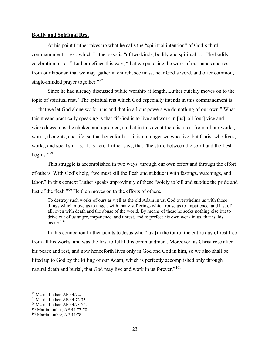#### **Bodily and Spiritual Rest**

At his point Luther takes up what he calls the "spiritual intention" of God's third commandment—rest, which Luther says is "of two kinds, bodily and spiritual. … The bodily celebration or rest" Luther defines this way, "that we put aside the work of our hands and rest from our labor so that we may gather in church, see mass, hear God's word, and offer common, single-minded prayer together."<sup>[97](#page-22-0)</sup>

Since he had already discussed public worship at length, Luther quickly moves on to the topic of spiritual rest. "The spiritual rest which God especially intends in this commandment is … that we let God alone work in us and that in all our powers we do nothing of our own." What this means practically speaking is that "if God is to live and work in [us], all [our] vice and wickedness must be choked and uprooted, so that in this event there is a rest from all our works, words, thoughts, and life, so that henceforth … it is no longer we who live, but Christ who lives, works, and speaks in us." It is here, Luther says, that "the strife between the spirit and the flesh begins."[98](#page-22-1)

This struggle is accomplished in two ways, through our own effort and through the effort of others. With God's help, "we must kill the flesh and subdue it with fastings, watchings, and labor." In this context Luther speaks approvingly of these "solely to kill and subdue the pride and lust of the flesh."[99](#page-22-2) He then moves on to the efforts of others.

To destroy such works of ours as well as the old Adam in us, God overwhelms us with those things which move us to anger, with many sufferings which rouse us to impatience, and last of all, even with death and the abuse of the world. By means of these he seeks nothing else but to drive out of us anger, impatience, and unrest, and to perfect his own work in us, that is, his peace.[100](#page-22-3)

In this connection Luther points to Jesus who "lay [in the tomb] the entire day of rest free from all his works, and was the first to fulfil this commandment. Moreover, as Christ rose after his peace and rest, and now henceforth lives only in God and God in him, so we also shall be lifted up to God by the killing of our Adam, which is perfectly accomplished only through natural death and burial, that God may live and work in us forever."<sup>[101](#page-22-4)</sup>

<span id="page-22-0"></span><sup>&</sup>lt;sup>97</sup> Martin Luther, AE 44:72.

<span id="page-22-1"></span><sup>98</sup> Martin Luther, AE 44:72-73.

<span id="page-22-2"></span><sup>99</sup> Martin Luther, AE 44:73-76.

<span id="page-22-3"></span><sup>100</sup> Martin Luther, AE 44:77-78.

<span id="page-22-4"></span><sup>101</sup> Martin Luther, AE 44:78.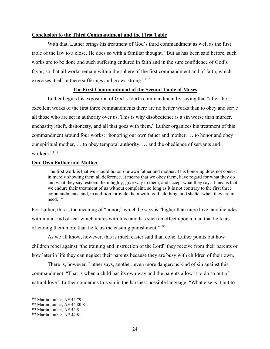#### **Conclusion to the Third Commandment and the First Table**

With that, Luther brings his treatment of God's third commandment as well as the first table of the law to a close. He does so with a familiar thought. "But as has been said before, such works are to be done and such suffering endured in faith and in the sure confidence of God's favor, so that all works remain within the sphere of the first commandment and of faith, which exercises itself in these sufferings and grows strong."<sup>[102](#page-23-0)</sup>

# **The First Commandment of the Second Table of Moses**

Luther begins his exposition of God's fourth commandment by saying that "after the excellent works of the first three commandments there are no better works than to obey and serve all those who are set in authority over us. This is why disobedience is a sin worse than murder, unchastity, theft, dishonesty, and all that goes with them." Luther organizes his treatment of this commandment around four works: "honoring our own father and mother, … to honor and obey our spiritual mother, … to obey temporal authority, … and the obedience of servants and workers."<sup>[103](#page-23-1)</sup>

#### **Our Own Father and Mother**

The first work is that we should honor our own father and mother. This honoring does not consist in merely showing them all deference. It means that we obey them, have regard for what they do and what they say, esteem them highly, give way to them, and accept what they say. It means that we endure their treatment of us without complaint, so long as it is not contrary to the first three commandments, and, in addition, provide them with food, clothing, and shelter when they are in need.[104](#page-23-2)

For Luther, this is the meaning of "honor," which he says is "higher than mere love, and includes within it a kind of fear which unites with love and has such an effect upon a man that he fears offending them more than he fears the ensuing punishment."<sup>[105](#page-23-3)</sup>

As we all know, however, this is much easier said than done. Luther points out how children rebel against "the training and instruction of the Lord" they receive from their parents or how later in life they can neglect their parents because they are busy with children of their own.

There is, however, Luther says, another, even more dangerous kind of sin against this commandment. "That is when a child has its own way and the parents allow it to do so out of natural love." Luther condemns this sin in the harshest possible language. "What else is it but to

<span id="page-23-0"></span><sup>102</sup> Martin Luther, AE 44:79.

<span id="page-23-1"></span><sup>103</sup> Martin Luther, AE 44:80-81.

<span id="page-23-2"></span><sup>&</sup>lt;sup>104</sup> Martin Luther, AE 44:81.

<span id="page-23-3"></span><sup>105</sup> Martin Luther, AE 44:81.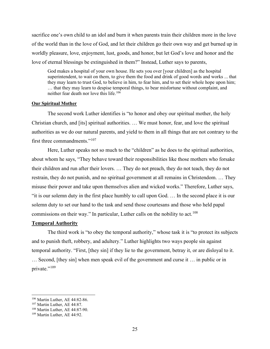sacrifice one's own child to an idol and burn it when parents train their children more in the love of the world than in the love of God, and let their children go their own way and get burned up in worldly pleasure, love, enjoyment, lust, goods, and honor, but let God's love and honor and the love of eternal blessings be extinguished in them?" Instead, Luther says to parents,

God makes a hospital of your own house. He sets you over [your children] as the hospital superintendent, to wait on them, to give them the food and drink of good words and works ... that they may learn to trust God, to believe in him, to fear him, and to set their whole hope upon him; … that they may learn to despise temporal things, to bear misfortune without complaint, and neither fear death nor love this life[.106](#page-24-0)

#### **Our Spiritual Mother**

The second work Luther identifies is "to honor and obey our spiritual mother, the holy Christian church, and [its] spiritual authorities. … We must honor, fear, and love the spiritual authorities as we do our natural parents, and yield to them in all things that are not contrary to the first three commandments."[107](#page-24-1)

Here, Luther speaks not so much to the "children" as he does to the spiritual authorities, about whom he says, "They behave toward their responsibilities like those mothers who forsake their children and run after their lovers. … They do not preach, they do not teach, they do not restrain, they do not punish, and no spiritual government at all remains in Christendom. … They misuse their power and take upon themselves alien and wicked works." Therefore, Luther says, "it is our solemn duty in the first place humbly to call upon God. … In the second place it is our solemn duty to set our hand to the task and send those courtesans and those who held papal commissions on their way." In particular, Luther calls on the nobility to act.<sup>[108](#page-24-2)</sup>

# **Temporal Authority**

The third work is "to obey the temporal authority," whose task it is "to protect its subjects and to punish theft, robbery, and adultery." Luther highlights two ways people sin against temporal authority. "First, [they sin] if they lie to the government, betray it, or are disloyal to it. … Second, [they sin] when men speak evil of the government and curse it … in public or in private."<sup>[109](#page-24-3)</sup>

<span id="page-24-0"></span><sup>106</sup> Martin Luther, AE 44:82-86.

<span id="page-24-1"></span><sup>107</sup> Martin Luther, AE 44:87.

<span id="page-24-2"></span><sup>108</sup> Martin Luther, AE 44:87-90.

<span id="page-24-3"></span><sup>109</sup> Martin Luther, AE 44:92.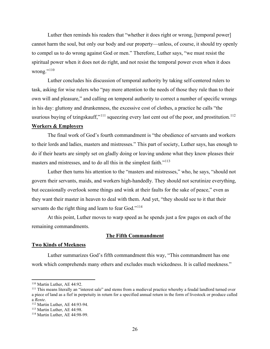Luther then reminds his readers that "whether it does right or wrong, [temporal power] cannot harm the soul, but only our body and our property—unless, of course, it should try openly to compel us to do wrong against God or men." Therefore, Luther says, "we must resist the spiritual power when it does not do right, and not resist the temporal power even when it does wrong." $^{110}$  $^{110}$  $^{110}$ 

Luther concludes his discussion of temporal authority by taking self-centered rulers to task, asking for wise rulers who "pay more attention to the needs of those they rule than to their own will and pleasure," and calling on temporal authority to correct a number of specific wrongs in his day: gluttony and drunkenness, the excessive cost of clothes, a practice he calls "the usurious buying of tzingskauff,"<sup>[111](#page-25-1)</sup> squeezing every last cent out of the poor, and prostitution.<sup>[112](#page-25-2)</sup>

# **Workers & Employers**

The final work of God's fourth commandment is "the obedience of servants and workers to their lords and ladies, masters and mistresses." This part of society, Luther says, has enough to do if their hearts are simply set on gladly doing or leaving undone what they know pleases their masters and mistresses, and to do all this in the simplest faith."<sup>[113](#page-25-3)</sup>

Luther then turns his attention to the "masters and mistresses," who, he says, "should not govern their servants, maids, and workers high-handedly. They should not scrutinize everything, but occasionally overlook some things and wink at their faults for the sake of peace," even as they want their master in heaven to deal with them. And yet, "they should see to it that their servants do the right thing and learn to fear God."<sup>[114](#page-25-4)</sup>

At this point, Luther moves to warp speed as he spends just a few pages on each of the remaining commandments.

# **The Fifth Commandment**

# **Two Kinds of Meekness**

Luther summarizes God's fifth commandment this way, "This commandment has one work which comprehends many others and excludes much wickedness. It is called meekness."

<span id="page-25-0"></span><sup>110</sup> Martin Luther, AE 44:92.

<span id="page-25-1"></span><sup>&</sup>lt;sup>111</sup> This means literally an "interest sale" and stems from a medieval practice whereby a feudal landlord turned over a piece of land as a fief in perpetuity in return for a specified annual return in the form of livestock or produce called a *Rente*.

<span id="page-25-2"></span><sup>112</sup> Martin Luther, AE 44:93-94.

<span id="page-25-3"></span><sup>&</sup>lt;sup>113</sup> Martin Luther, AE 44:98.

<span id="page-25-4"></span><sup>114</sup> Martin Luther, AE 44:98-99.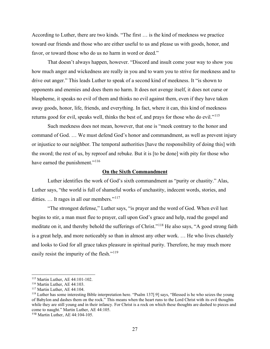According to Luther, there are two kinds. "The first … is the kind of meekness we practice toward our friends and those who are either useful to us and please us with goods, honor, and favor, or toward those who do us no harm in word or deed."

That doesn't always happen, however. "Discord and insult come your way to show you how much anger and wickedness are really in you and to warn you to strive for meekness and to drive out anger." This leads Luther to speak of a second kind of meekness. It "is shown to opponents and enemies and does them no harm. It does not avenge itself, it does not curse or blaspheme, it speaks no evil of them and thinks no evil against them, even if they have taken away goods, honor, life, friends, and everything. In fact, where it can, this kind of meekness returns good for evil, speaks well, thinks the best of, and prays for those who do evil."<sup>[115](#page-26-0)</sup>

Such meekness does not mean, however, that one is "meek contrary to the honor and command of God. … We must defend God's honor and commandment, as well as prevent injury or injustice to our neighbor. The temporal authorities [have the responsibility of doing this] with the sword; the rest of us, by reproof and rebuke. But it is [to be done] with pity for those who have earned the punishment."<sup>[116](#page-26-1)</sup>

#### **On the Sixth Commandment**

Luther identifies the work of God's sixth commandment as "purity or chastity." Alas, Luther says, "the world is full of shameful works of unchastity, indecent words, stories, and ditties. ... It rages in all our members."<sup>[117](#page-26-2)</sup>

"The strongest defense," Luther says, "is prayer and the word of God. When evil lust begins to stir, a man must flee to prayer, call upon God's grace and help, read the gospel and meditate on it, and thereby behold the sufferings of Christ."[118](#page-26-3) He also says, "A good strong faith is a great help, and more noticeably so than in almost any other work. … He who lives chastely and looks to God for all grace takes pleasure in spiritual purity. Therefore, he may much more easily resist the impurity of the flesh."<sup>[119](#page-26-4)</sup>

<span id="page-26-0"></span><sup>115</sup> Martin Luther, AE 44:101-102.

<span id="page-26-1"></span><sup>116</sup> Martin Luther, AE 44:103.

<span id="page-26-2"></span><sup>&</sup>lt;sup>117</sup> Martin Luther, AE 44:104.

<span id="page-26-3"></span><sup>118</sup> Luther has some interesting Bible interpretation here. "Psalm 137[:9] says, "Blessed is he who seizes the young of Babylon and dashes them on the rock." This means when the heart runs to the Lord Christ with its evil thoughts while they are still young and in their infancy. For Christ is a rock on which these thoughts are dashed to pieces and come to naught." Martin Luther, AE 44:105.

<span id="page-26-4"></span><sup>119</sup> Martin Luther, AE 44:104-105.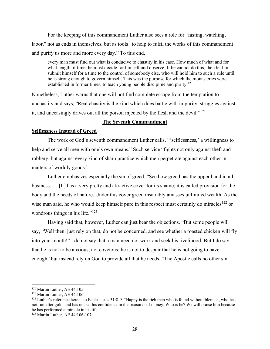For the keeping of this commandment Luther also sees a role for "fasting, watching, labor," not as ends in themselves, but as tools "to help to fulfil the works of this commandment and purify us more and more every day." To this end,

every man must find out what is conducive to chastity in his case. How much of what and for what length of time, he must decide for himself and observe. If he cannot do this, then let him submit himself for a time to the control of somebody else, who will hold him to such a rule until he is strong enough to govern himself. This was the purpose for which the monasteries were established in former times, to teach young people discipline and purity.<sup>[120](#page-27-0)</sup>

Nonetheless, Luther warns that one will not find complete escape from the temptation to unchastity and says, "Real chastity is the kind which does battle with impurity, struggles against it, and unceasingly drives out all the poison injected by the flesh and the devil."<sup>[121](#page-27-1)</sup>

# **The Seventh Commandment**

#### **Selflessness Instead of Greed**

The work of God's seventh commandment Luther calls, "'selflessness,' a willingness to help and serve all men with one's own means." Such service "fights not only against theft and robbery, but against every kind of sharp practice which men perpetrate against each other in matters of worldly goods."

Luther emphasizes especially the sin of greed. "See how greed has the upper hand in all business. … [It] has a very pretty and attractive cover for its shame; it is called provision for the body and the needs of nature. Under this cover greed insatiably amasses unlimited wealth. As the wise man said, he who would keep himself pure in this respect must certainly do miracles<sup>[122](#page-27-2)</sup> or wondrous things in his life."<sup>[123](#page-27-3)</sup>

Having said that, however, Luther can just hear the objections. "But some people will say, "Well then, just rely on that, do not be concerned, and see whether a roasted chicken will fly into your mouth!" I do not say that a man need not work and seek his livelihood. But I do say that he is not to be anxious, not covetous; he is not to despair that he is not going to have enough" but instead rely on God to provide all that he needs. "The Apostle calls no other sin

<span id="page-27-0"></span><sup>120</sup> Martin Luther, AE 44:105.

<span id="page-27-1"></span><sup>&</sup>lt;sup>121</sup> Martin Luther, AE 44:106.

<span id="page-27-2"></span><sup>&</sup>lt;sup>122</sup> Luther's reference here is to Ecclesiastes 31:8-9. "Happy is the rich man who is found without blemish, who has not run after gold, and has not set his confidence in the treasures of money. Who is he? We will praise him because he has performed a miracle in his life."

<span id="page-27-3"></span><sup>123</sup> Martin Luther, AE 44:106-107.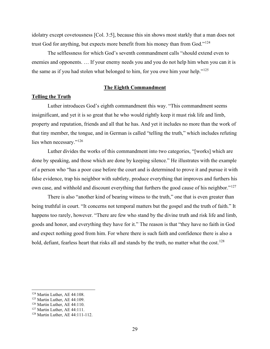idolatry except covetousness [Col. 3:5], because this sin shows most starkly that a man does not trust God for anything, but expects more benefit from his money than from God."<sup>[124](#page-28-0)</sup>

The selflessness for which God's seventh commandment calls "should extend even to enemies and opponents. … If your enemy needs you and you do not help him when you can it is the same as if you had stolen what belonged to him, for you owe him your help."<sup>[125](#page-28-1)</sup>

#### **The Eighth Commandment**

### **Telling the Truth**

Luther introduces God's eighth commandment this way. "This commandment seems insignificant, and yet it is so great that he who would rightly keep it must risk life and limb, property and reputation, friends and all that he has. And yet it includes no more than the work of that tiny member, the tongue, and in German is called "telling the truth," which includes refuting lies when necessary."<sup>[126](#page-28-2)</sup>

Luther divides the works of this commandment into two categories, "[works] which are done by speaking, and those which are done by keeping silence." He illustrates with the example of a person who "has a poor case before the court and is determined to prove it and pursue it with false evidence, trap his neighbor with subtlety, produce everything that improves and furthers his own case, and withhold and discount everything that furthers the good cause of his neighbor."<sup>[127](#page-28-3)</sup>

There is also "another kind of bearing witness to the truth," one that is even greater than being truthful in court. "It concerns not temporal matters but the gospel and the truth of faith." It happens too rarely, however. "There are few who stand by the divine truth and risk life and limb, goods and honor, and everything they have for it." The reason is that "they have no faith in God and expect nothing good from him. For where there is such faith and confidence there is also a bold, defiant, fearless heart that risks all and stands by the truth, no matter what the cost.<sup>[128](#page-28-4)</sup>

<span id="page-28-0"></span><sup>&</sup>lt;sup>124</sup> Martin Luther, AE 44:108.

<span id="page-28-1"></span><sup>125</sup> Martin Luther, AE 44:109.

<span id="page-28-2"></span><sup>126</sup> Martin Luther, AE 44:110.

<span id="page-28-3"></span><sup>127</sup> Martin Luther, AE 44:111.

<span id="page-28-4"></span><sup>128</sup> Martin Luther, AE 44:111-112.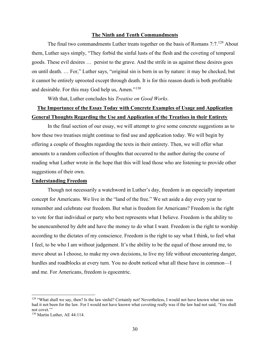### **The Ninth and Tenth Commandments**

The final two commandments Luther treats together on the basis of Romans 7:7.<sup>[129](#page-29-0)</sup> About them, Luther says simply, "They forbid the sinful lusts of the flesh and the coveting of temporal goods. These evil desires … persist to the grave. And the strife in us against these desires goes on until death. … For," Luther says, "original sin is born in us by nature: it may be checked, but it cannot be entirely uprooted except through death. It is for this reason death is both profitable and desirable. For this may God help us, Amen."[130](#page-29-1)

With that, Luther concludes his *Treatise on Good Works*.

# **The Importance of the Essay Today with Concrete Examples of Usage and Application General Thoughts Regarding the Use and Application of the Treatises in their Entirety**

In the final section of our essay, we will attempt to give some concrete suggestions as to how these two treatises might continue to find use and application today. We will begin by offering a couple of thoughts regarding the texts in their entirety. Then, we will offer what amounts to a random collection of thoughts that occurred to the author during the course of reading what Luther wrote in the hope that this will lead those who are listening to provide other suggestions of their own.

#### **Understanding Freedom**

Though not necessarily a watchword in Luther's day, freedom is an especially important concept for Americans. We live in the "land of the free." We set aside a day every year to remember and celebrate our freedom. But what is freedom for Americans? Freedom is the right to vote for that individual or party who best represents what I believe. Freedom is the ability to be unencumbered by debt and have the money to do what I want. Freedom is the right to worship according to the dictates of my conscience. Freedom is the right to say what I think, to feel what I feel, to be who I am without judgement. It's the ability to be the equal of those around me, to move about as I choose, to make my own decisions, to live my life without encountering danger, hurdles and roadblocks at every turn. You no doubt noticed what all these have in common—I and me. For Americans, freedom is egocentric.

<span id="page-29-0"></span><sup>&</sup>lt;sup>129</sup> "What shall we say, then? Is the law sinful? Certainly not! Nevertheless, I would not have known what sin was had it not been for the law. For I would not have known what coveting really was if the law had not said, 'You shall not covet."

<span id="page-29-1"></span><sup>130</sup> Martin Luther, AE 44:114.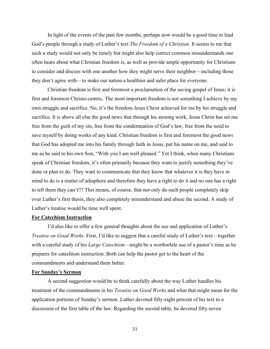In light of the events of the past few months, perhaps now would be a good time to lead God's people through a study of Luther's text *The Freedom of a Christian.* It seems to me that such a study would not only be timely but might also help correct common misunderstands one often hears about what Christian freedom is, as well as provide ample opportunity for Christians to consider and discuss with one another how they might serve their neighbor—including those they don't agree with—to make our nation a healthier and safer place for everyone.

Christian freedom is first and foremost a proclamation of the saving gospel of Jesus; it is first and foremost Christo-centric. The most important freedom is not something I achieve by my own struggle and sacrifice. No, it's the freedom Jesus Christ achieved for me by his struggle and sacrifice. It is above all else the good news that through his atoning work, Jesus Christ has set me free from the guilt of my sin, free from the condemnation of God's law, free from the need to save myself by doing works of any kind. Christian freedom is first and foremost the good news that God has adopted me into his family through faith in Jesus, put his name on me, and said to me as he said to his own Son, "With you I am well pleased." Yet I think, when many Christians speak of Christian freedom, it's often primarily because they want to justify something they've done or plan to do. They want to communicate that they know that whatever it is they have in mind to do is a matter of adiaphora and therefore they have a right to do it and no one has a right to tell them they can't!!! This means, of course, that not only do such people completely skip over Luther's first thesis, they also completely misunderstand and abuse the second. A study of Luther's treatise would be time well spent.

#### **For Catechism Instruction**

I'd also like to offer a few general thoughts about the use and application of Luther's *Treatise on Good Works*. First, I'd like to suggest that a careful study of Luther's text—together with a careful study of his *Large Catechism*—might be a worthwhile use of a pastor's time as he prepares for catechism instruction. Both can help the pastor get to the heart of the commandments and understand them better.

# **For Sunday's Sermon**

A second suggestion would be to think carefully about the way Luther handles his treatment of the commandments in his *Treatise on Good Works* and what that might mean for the application portions of Sunday's sermon. Luther devoted fifty-eight percent of his text to a discussion of the first table of the law. Regarding the second table, he devoted fifty-seven

31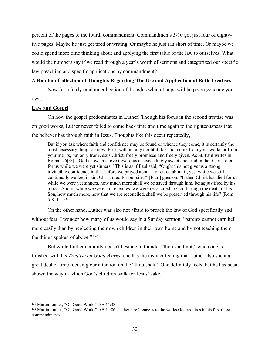percent of the pages to the fourth commandment. Commandments 5-10 got just four of eightyfive pages. Maybe he just got tired or writing. Or maybe he just ran short of time. Or maybe we could spend more time thinking about and applying the first table of the law to ourselves. What would the numbers say if we read through a year's worth of sermons and categorized our specific law preaching and specific applications by commandment?

#### **A Random Collection of Thoughts Regarding The Use and Application of Both Treatises**

Now for a fairly random collection of thoughts which I hope will help you generate your own.

#### **Law and Gospel**

Oh how the gospel predominates in Luther! Though his focus in the second treatise was on good works, Luther never failed to come back time and time again to the righteousness that the believer has through faith in Jesus. Thoughts like this occur repeatedly,

But if you ask where faith and confidence may be found or whence they come, it is certainly the most necessary thing to know. First, without any doubt it does not come from your works or from your merits, but only from Jesus Christ, freely promised and freely given. As St. Paul writes in Romans 5[:8], "God shows his love toward us as exceedingly sweet and kind in that Christ died for us while we were yet sinners." This is as if Paul said, "Ought this not give us a strong, invincible confidence in that before we prayed about it or cared about it, yes, while we still continually walked in sin, Christ died for our sins?" [Paul] goes on, "If then Christ has died for us while we were yet sinners, how much more shall we be saved through him, being justified by his blood. And if, while we were still enemies, we were reconciled to God through the death of his Son, how much more, now that we are reconciled, shall we be preserved through his life" [Rom. 5:8–11][.131](#page-31-0)

On the other hand, Luther was also not afraid to preach the law of God specifically and without fear. I wonder how many of us would say in a Sunday sermon, "parents cannot earn hell more easily than by neglecting their own children in their own home and by not teaching them the things spoken of above."<sup>[132](#page-31-1)</sup>

But while Luther certainly doesn't hesitate to thunder "thou shalt not," when one is finished with his *Treatise on Good Works*, one has the distinct feeling that Luther also spent a great deal of time focusing our attention on the "thou shalt." One definitely feels that he has been shown the way in which God's children walk for Jesus' sake.

<span id="page-31-0"></span><sup>&</sup>lt;sup>131</sup> Martin Luther, "On Good Works" AE 44:38.

<span id="page-31-1"></span><sup>&</sup>lt;sup>132</sup> Martin Luther, "On Good Works" AE 44:86. Luther's reference is to the works God requires in his first three commandments.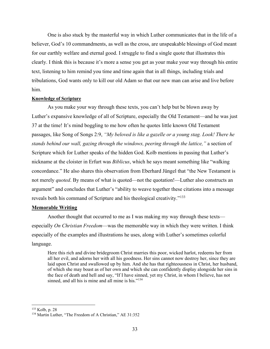One is also stuck by the masterful way in which Luther communicates that in the life of a believer, God's 10 commandments, as well as the cross, are unspeakable blessings of God meant for our earthly welfare and eternal good. I struggle to find a single quote that illustrates this clearly. I think this is because it's more a sense you get as your make your way through his entire text, listening to him remind you time and time again that in all things, including trials and tribulations, God wants only to kill our old Adam so that our new man can arise and live before him.

#### **Knowledge of Scripture**

As you make your way through these texts, you can't help but be blown away by Luther's expansive knowledge of all of Scripture, especially the Old Testament—and he was just 37 at the time! It's mind boggling to me how often he quotes little known Old Testament passages, like Song of Songs 2:9, *"My beloved is like a gazelle or a young stag. Look! There he stands behind our wall, gazing through the windows, peering through the lattice,"* a section of Scripture which for Luther speaks of the hidden God. Kolb mentions in passing that Luther's nickname at the cloister in Erfurt was *Biblicus*, which he says meant something like "walking concordance." He also shares this observation from Eberhard Jüngel that "the New Testament is not merely *quoted*. By means of what is quoted—not the quotation!—Luther also constructs an argument" and concludes that Luther's "ability to weave together these citations into a message reveals both his command of Scripture and his theological creativity."<sup>[133](#page-32-0)</sup>

#### **Memorable Writing**

Another thought that occurred to me as I was making my way through these texts especially *On Christian Freedom*—was the memorable way in which they were written. I think especially of the examples and illustrations he uses, along with Luther's sometimes colorful language.

Here this rich and divine bridegroom Christ marries this poor, wicked harlot, redeems her from all her evil, and adorns her with all his goodness. Her sins cannot now destroy her, since they are laid upon Christ and swallowed up by him. And she has that righteousness in Christ, her husband, of which she may boast as of her own and which she can confidently display alongside her sins in the face of death and hell and say, "If I have sinned, yet my Christ, in whom I believe, has not sinned, and all his is mine and all mine is his."<sup>[134](#page-32-1)</sup>

<span id="page-32-0"></span><sup>133</sup> Kolb, p. 28

<span id="page-32-1"></span><sup>134</sup> Martin Luther, "The Freedom of A Christian," AE 31:352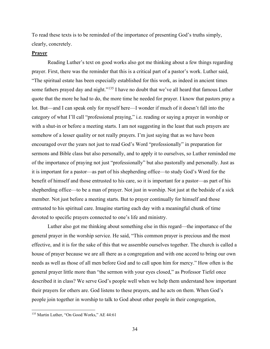To read these texts is to be reminded of the importance of presenting God's truths simply, clearly, concretely.

# **Prayer**

Reading Luther's text on good works also got me thinking about a few things regarding prayer. First, there was the reminder that this is a critical part of a pastor's work. Luther said, "The spiritual estate has been especially established for this work, as indeed in ancient times some fathers prayed day and night."<sup>[135](#page-33-0)</sup> I have no doubt that we've all heard that famous Luther quote that the more he had to do, the more time he needed for prayer. I know that pastors pray a lot. But—and I can speak only for myself here—I wonder if much of it doesn't fall into the category of what I'll call "professional praying," i.e. reading or saying a prayer in worship or with a shut-in or before a meeting starts. I am not suggesting in the least that such prayers are somehow of a lesser quality or not really prayers. I'm just saying that as we have been encouraged over the years not just to read God's Word "professionally" in preparation for sermons and Bible class but also personally, and to apply it to ourselves, so Luther reminded me of the importance of praying not just "professionally" but also pastorally and personally. Just as it is important for a pastor—as part of his shepherding office—to study God's Word for the benefit of himself and those entrusted to his care, so it is important for a pastor—as part of his shepherding office—to be a man of prayer. Not just in worship. Not just at the bedside of a sick member. Not just before a meeting starts. But to prayer continually for himself and those entrusted to his spiritual care. Imagine starting each day with a meaningful chunk of time devoted to specific prayers connected to one's life and ministry.

Luther also got me thinking about something else in this regard—the importance of the general prayer in the worship service. He said, "This common prayer is precious and the most effective, and it is for the sake of this that we assemble ourselves together. The church is called a house of prayer because we are all there as a congregation and with one accord to bring our own needs as well as those of all men before God and to call upon him for mercy." How often is the general prayer little more than "the sermon with your eyes closed," as Professor Tiefel once described it in class? We serve God's people well when we help them understand how important their prayers for others are. God listens to these prayers, and he acts on them. When God's people join together in worship to talk to God about other people in their congregation,

<span id="page-33-0"></span><sup>135</sup> Martin Luther, "On Good Works," AE 44:61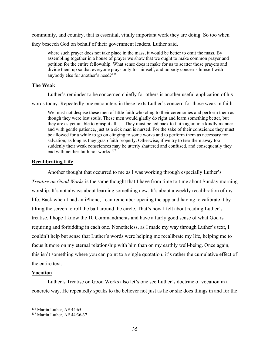community, and country, that is essential, vitally important work they are doing. So too when they beseech God on behalf of their government leaders. Luther said,

where such prayer does not take place in the mass, it would be better to omit the mass. By assembling together in a house of prayer we show that we ought to make common prayer and petition for the entire fellowship. What sense does it make for us to scatter those prayers and divide them up so that everyone prays only for himself, and nobody concerns himself with anybody else for another's need?[136](#page-34-0)

# **The Weak**

Luther's reminder to be concerned chiefly for others is another useful application of his

words today. Repeatedly one encounters in these texts Luther's concern for those weak in faith.

We must not despise these men of little faith who cling to their ceremonies and perform them as though they were lost souls. These men would gladly do right and learn something better, but they are as yet unable to grasp it all. … They must be led back to faith again in a kindly manner and with gentle patience, just as a sick man is nursed. For the sake of their conscience they must be allowed for a while to go on clinging to some works and to perform them as necessary for salvation, as long as they grasp faith properly. Otherwise, if we try to tear them away too suddenly their weak consciences may be utterly shattered and confused, and consequently they end with neither faith nor works.<sup>[137](#page-34-1)</sup>

#### **Recalibrating Life**

Another thought that occurred to me as I was working through especially Luther's *Treatise on Good Works* is the same thought that I have from time to time about Sunday morning worship. It's not always about learning something new. It's about a weekly recalibration of my life. Back when I had an iPhone, I can remember opening the app and having to calibrate it by tilting the screen to roll the ball around the circle. That's how I felt about reading Luther's treatise. I hope I know the 10 Commandments and have a fairly good sense of what God is requiring and forbidding in each one. Nonetheless, as I made my way through Luther's text, I couldn't help but sense that Luther's words were helping me recalibrate my life, helping me to focus it more on my eternal relationship with him than on my earthly well-being. Once again, this isn't something where you can point to a single quotation; it's rather the cumulative effect of the entire text.

#### **Vocation**

Luther's Treatise on Good Works also let's one see Luther's doctrine of vocation in a concrete way. He repeatedly speaks to the believer not just as he or she does things in and for the

<span id="page-34-0"></span><sup>136</sup> Martin Luther, AE 44:65

<span id="page-34-1"></span><sup>137</sup> Martin Luther, AE 44:36-37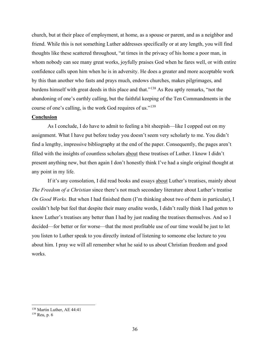church, but at their place of employment, at home, as a spouse or parent, and as a neighbor and friend. While this is not something Luther addresses specifically or at any length, you will find thoughts like these scattered throughout, "at times in the privacy of his home a poor man, in whom nobody can see many great works, joyfully praises God when he fares well, or with entire confidence calls upon him when he is in adversity. He does a greater and more acceptable work by this than another who fasts and prays much, endows churches, makes pilgrimages, and burdens himself with great deeds in this place and that."[138](#page-35-0) As Reu aptly remarks, "not the abandoning of one's earthly calling, but the faithful keeping of the Ten Commandments in the course of one's calling, is the work God requires of us."<sup>[139](#page-35-1)</sup>

#### **Conclusion**

As I conclude, I do have to admit to feeling a bit sheepish—like I copped out on my assignment. What I have put before today you doesn't seem very scholarly to me. You didn't find a lengthy, impressive bibliography at the end of the paper. Consequently, the pages aren't filled with the insights of countless scholars about these treatises of Luther. I know I didn't present anything new, but then again I don't honestly think I've had a single original thought at any point in my life.

If it's any consolation, I did read books and essays about Luther's treatises, mainly about *The Freedom of a Christian* since there's not much secondary literature about Luther's treatise *On Good Works.* But when I had finished them (I'm thinking about two of them in particular), I couldn't help but feel that despite their many erudite words, I didn't really think I had gotten to know Luther's treatises any better than I had by just reading the treatises themselves. And so I decided—for better or for worse—that the most profitable use of our time would be just to let you listen to Luther speak to you directly instead of listening to someone else lecture to you about him. I pray we will all remember what he said to us about Christian freedom and good works.

<sup>138</sup> Martin Luther, AE 44:41

<span id="page-35-1"></span><span id="page-35-0"></span><sup>139</sup> Reu, p. 6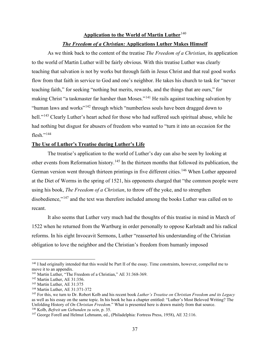# **Application to the World of Martin Luther**[140](#page-36-0) *The Freedom of a Christian:* **Applications Luther Makes Himself**

As we think back to the content of the treatise *The Freedom of a Christian*, its application to the world of Martin Luther will be fairly obvious. With this treatise Luther was clearly teaching that salvation is not by works but through faith in Jesus Christ and that real good works flow from that faith in service to God and one's neighbor. He takes his church to task for "never teaching faith," for seeking "nothing but merits, rewards, and the things that are ours," for making Christ "a taskmaster far harsher than Moses."[141](#page-36-1) He rails against teaching salvation by "human laws and works"[142](#page-36-2) through which "numberless souls have been dragged down to hell."<sup>[143](#page-36-3)</sup> Clearly Luther's heart ached for those who had suffered such spiritual abuse, while he had nothing but disgust for abusers of freedom who wanted to "turn it into an occasion for the flesh." $^{144}$  $^{144}$  $^{144}$ 

# **The Use of Luther's Treatise during Luther's Life**

The treatise's application to the world of Luther's day can also be seen by looking at other events from Reformation history.<sup>[145](#page-36-5)</sup> In the thirteen months that followed its publication, the German version went through thirteen printings in five different cities.<sup>[146](#page-36-6)</sup> When Luther appeared at the Diet of Worms in the spring of 1521, his opponents charged that "the common people were using his book, *The Freedom of a Christian*, to throw off the yoke, and to strengthen disobedience,"<sup>[147](#page-36-7)</sup> and the text was therefore included among the books Luther was called on to recant.

It also seems that Luther very much had the thoughts of this treatise in mind in March of 1522 when he returned from the Wartburg in order personally to oppose Karlstadt and his radical reforms. In his eight Invocavit Sermons, Luther "reasserted his understanding of the Christian obligation to love the neighbor and the Christian's freedom from humanly imposed

<span id="page-36-0"></span><sup>&</sup>lt;sup>140</sup> I had originally intended that this would be Part II of the essay. Time constraints, however, compelled me to move it to an appendix.

<span id="page-36-1"></span><sup>&</sup>lt;sup>141</sup> Martin Luther, "The Freedom of a Christian," AE 31:368-369.

<span id="page-36-2"></span><sup>&</sup>lt;sup>142</sup> Martin Luther, AE 31:356.

<span id="page-36-3"></span><sup>143</sup> Martin Luther, AE 31:375

<span id="page-36-4"></span><sup>144</sup> Martin Luther, AE 31:371-372

<span id="page-36-5"></span><sup>145</sup> For this, we turn to Dr. Robert Kolb and his recent book *Luther's Treatise on Christian Freedom and its Legacy* as well as his essay on the same topic. In his book he has a chapter entitled: "Luther's Most Beloved Writing? The Unfolding History of *On Christian Freedom*." What is presented here is drawn mainly from that source. <sup>146</sup> Kolb, *Befreit um Gebunden zu sein*, p. 35.

<span id="page-36-7"></span><span id="page-36-6"></span><sup>&</sup>lt;sup>147</sup> George Forell and Helmut Lehmann, ed., (Philadelphia: Fortress Press, 1958), AE 32:116.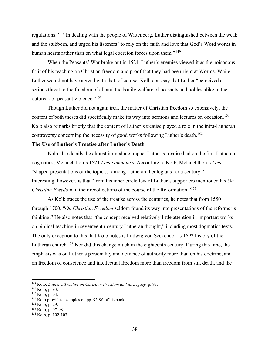regulations."[148](#page-37-0) In dealing with the people of Wittenberg, Luther distinguished between the weak and the stubborn, and urged his listeners "to rely on the faith and love that God's Word works in human hearts rather than on what legal coercion forces upon them."<sup>[149](#page-37-1)</sup>

When the Peasants' War broke out in 1524, Luther's enemies viewed it as the poisonous fruit of his teaching on Christian freedom and proof that they had been right at Worms. While Luther would not have agreed with that, of course, Kolb does say that Luther "perceived a serious threat to the freedom of all and the bodily welfare of peasants and nobles alike in the outbreak of peasant violence."<sup>[150](#page-37-2)</sup>

Though Luther did not again treat the matter of Christian freedom so extensively, the content of both theses did specifically make its way into sermons and lectures on occasion.<sup>[151](#page-37-3)</sup> Kolb also remarks briefly that the content of Luther's treatise played a role in the intra-Lutheran controversy concerning the necessity of good works following Luther's death.<sup>[152](#page-37-4)</sup>

# **The Use of Luther's Treatise after Luther's Death**

Kolb also details the almost immediate impact Luther's treatise had on the first Lutheran dogmatics, Melanchthon's 1521 *Loci communes*. According to Kolb, Melanchthon's *Loci* "shaped presentations of the topic … among Lutheran theologians for a century." Interesting, however, is that "from his inner circle few of Luther's supporters mentioned his *On Christian Freedom* in their recollections of the course of the Reformation."[153](#page-37-5)

As Kolb traces the use of the treatise across the centuries, he notes that from 1550 through 1700, "*On Christian Freedom* seldom found its way into presentations of the reformer's thinking." He also notes that "the concept received relatively little attention in important works on biblical teaching in seventeenth-century Lutheran thought," including most dogmatics texts. The only exception to this that Kolb notes is Ludwig von Seckendorf's 1692 history of the Lutheran church.<sup>[154](#page-37-6)</sup> Nor did this change much in the eighteenth century. During this time, the emphasis was on Luther's personality and defiance of authority more than on his doctrine, and on freedom of conscience and intellectual freedom more than freedom from sin, death, and the

<span id="page-37-0"></span><sup>148</sup> Kolb, *Luther's Treatise on Christian Freedom and its Legacy,* p. 93.

<span id="page-37-1"></span><sup>149</sup> Kolb, p. 93.

<span id="page-37-2"></span><sup>150</sup> Kolb, p. 94.

<span id="page-37-3"></span><sup>&</sup>lt;sup>151</sup> Kolb provides examples on pp. 95-96 of his book.

<span id="page-37-4"></span><sup>152</sup> Kolb, p. 29.

<span id="page-37-5"></span><sup>153</sup> Kolb, p. 97-98.

<span id="page-37-6"></span><sup>154</sup> Kolb, p. 102-103.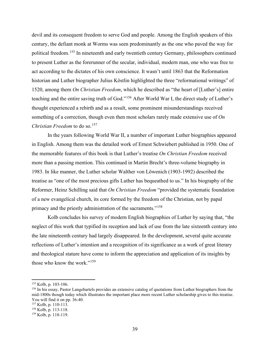devil and its consequent freedom to serve God and people. Among the English speakers of this century, the defiant monk at Worms was seen predominantly as the one who paved the way for political freedom.<sup>[155](#page-38-0)</sup> In nineteenth and early twentieth century Germany, philosophers continued to present Luther as the forerunner of the secular, individual, modern man, one who was free to act according to the dictates of his own conscience. It wasn't until 1863 that the Reformation historian and Luther biographer Julius Köstlin highlighted the three "reformational writings" of 1520, among them *On Christian Freedom*, which he described as "the heart of [Luther's] entire teaching and the entire saving truth of God."[156](#page-38-1) After World War I, the direct study of Luther's thought experienced a rebirth and as a result, some prominent misunderstandings received something of a correction, though even then most scholars rarely made extensive use of *On Christian Freedom* to do so.<sup>[157](#page-38-2)</sup>

In the years following World War II, a number of important Luther biographies appeared in English. Among them was the detailed work of Ernest Schwiebert published in 1950. One of the memorable features of this book is that Luther's treatise *On Christian Freedom* received more than a passing mention. This continued in Martin Brecht's three-volume biography in 1983. In like manner, the Luther scholar Walther von Löwenich (1903-1992) described the treatise as "one of the most precious gifts Luther has bequeathed to us." In his biography of the Reformer, Heinz Schilling said that *On Christian Freedom* "provided the systematic foundation of a new evangelical church, its core formed by the freedom of the Christian, not by papal primacy and the priestly administration of the sacraments."<sup>[158](#page-38-3)</sup>

Kolb concludes his survey of modern English biographies of Luther by saying that, "the neglect of this work that typified its reception and lack of use from the late sixteenth century into the late nineteenth century had largely disappeared. In the development, several quite accurate reflections of Luther's intention and a recognition of its significance as a work of great literary and theological stature have come to inform the appreciation and application of its insights by those who know the work."<sup>[159](#page-38-4)</sup>

<span id="page-38-0"></span><sup>155</sup> Kolb, p. 103-106.

<span id="page-38-1"></span><sup>&</sup>lt;sup>156</sup> In his essay, Pastor Langebartels provides an extensive catalog of quotations from Luther biographers from the mid-1800s though today which illustrates the important place more recent Luther scholarship gives to this treatise. You will find it on pp. 36-40.

<span id="page-38-2"></span><sup>157</sup> Kolb, p. 110-113.

<span id="page-38-3"></span><sup>158</sup> Kolb, p. 113-118.

<span id="page-38-4"></span><sup>159</sup> Kolb, p. 118-119.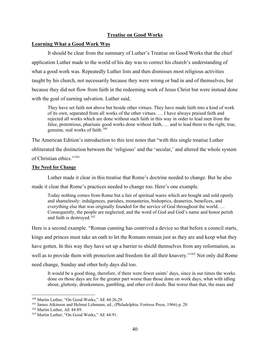# **Treatise on Good Works**

# **Learning What a Good Work Was**

It should be clear from the summary of Luther's Treatise on Good Works that the chief application Luther made to the world of his day was to correct his church's understanding of what a good work was. Repeatedly Luther lists and then dismisses most religious activities taught by his church, not necessarily because they were wrong or bad in and of themselves, but because they did not flow from faith in the redeeming work of Jesus Christ but were instead done with the goal of earning salvation. Luther said,

They have set faith not above but beside other virtues. They have made faith into a kind of work of its own, separated from all works of the other virtues. … I have always praised faith and rejected all works which are done without such faith in this way in order to lead men from the false, pretentious, pharisaic good works done without faith, … and to lead them to the right, true, genuine, real works of faith.[160](#page-39-0)

The American Edition's introduction to this text notes that "with this single treatise Luther obliterated the distinction between the 'religious' and the 'secular,' and altered the whole system of Christian ethics."<sup>[161](#page-39-1)</sup>

### **The Need for Change**

Luther made it clear in this treatise that Rome's doctrine needed to change. But he also

made it clear that Rome's practices needed to change too. Here's one example.

Today nothing comes from Rome but a fair of spiritual wares which are bought and sold openly and shamelessly: indulgences, parishes, monasteries, bishoprics, deaneries, benefices, and everything else that was originally founded for the service of God throughout the world. … Consequently, the people are neglected, and the word of God and God's name and honor perish and faith is destroyed.<sup>[162](#page-39-2)</sup>

Here is a second example. "Roman cunning has contrived a device so that before a council starts, kings and princes must take an oath to let the Romans remain just as they are and keep what they have gotten. In this way they have set up a barrier to shield themselves from any reformation, as well as to provide them with protection and freedom for all their knavery."<sup>[163](#page-39-3)</sup> Not only did Rome need change, Sunday and other holy days did too.

It would be a good thing, therefore, if there were fewer saints' days, since in our times the works done on those days are for the greater part worse than those done on work days, what with idling about, gluttony, drunkenness, gambling, and other evil deeds. But worse than that, the mass and

<span id="page-39-0"></span><sup>&</sup>lt;sup>160</sup> Martin Luther, "On Good Works," AE 44:26,29.

<span id="page-39-1"></span><sup>161</sup> James Atkinson and Helmut Lehmann, ed., (Philadelphia: Fortress Press, 1966) p. 20

<span id="page-39-2"></span><sup>&</sup>lt;sup>162</sup> Martin Luther, AE 44:89.

<span id="page-39-3"></span><sup>163</sup> Martin Luther, "On Good Works," AE 44:91.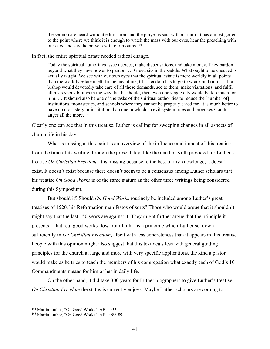the sermon are heard without edification, and the prayer is said without faith. It has almost gotten to the point where we think it is enough to watch the mass with our eyes, hear the preaching with our ears, and say the prayers with our mouths.<sup>[164](#page-40-0)</sup>

In fact, the entire spiritual estate needed radical change.

Today the spiritual authorities issue decrees, make dispensations, and take money. They pardon beyond what they have power to pardon. … Greed sits in the saddle. What ought to be checked is actually taught. We see with our own eyes that the spiritual estate is more worldly in all points than the worldly estate itself. In the meantime, Christendom has to go to wrack and ruin. … If a bishop would devotedly take care of all these demands, see to them, make visitations, and fulfil all his responsibilities in the way that he should, then even one single city would be too much for him. ... It should also be one of the tasks of the spiritual authorities to reduce the [number of] institutions, monasteries, and schools where they cannot be properly cared for. It is much better to have no monastery or institution than one in which an evil system rules and provokes God to anger all the more.<sup>[165](#page-40-1)</sup>

Clearly one can see that in this treatise, Luther is calling for sweeping changes in all aspects of church life in his day.

What is missing at this point is an overview of the influence and impact of this treatise from the time of its writing through the present day, like the one Dr. Kolb provided for Luther's treatise *On Christian Freedom*. It is missing because to the best of my knowledge, it doesn't exist. It doesn't exist because there doesn't seem to be a consensus among Luther scholars that his treatise *On Good Works* is of the same stature as the other three writings being considered during this Symposium.

But should it? Should *On Good Works* routinely be included among Luther's great treatises of 1520, his Reformation manifestos of sorts? Those who would argue that it shouldn't might say that the last 150 years are against it. They might further argue that the principle it presents—that real good works flow from faith—is a principle which Luther set down sufficiently in *On Christian Freedom*, albeit with less concreteness than it appears in this treatise. People with this opinion might also suggest that this text deals less with general guiding principles for the church at large and more with very specific applications, the kind a pastor would make as he tries to teach the members of his congregation what exactly each of God's 10 Commandments means for him or her in daily life.

On the other hand, it did take 300 years for Luther biographers to give Luther's treatise *On Christian Freedom* the status is currently enjoys. Maybe Luther scholars are coming to

<span id="page-40-0"></span><sup>&</sup>lt;sup>164</sup> Martin Luther, "On Good Works," AE 44:55.

<span id="page-40-1"></span><sup>&</sup>lt;sup>165</sup> Martin Luther, "On Good Works," AE 44:88-89.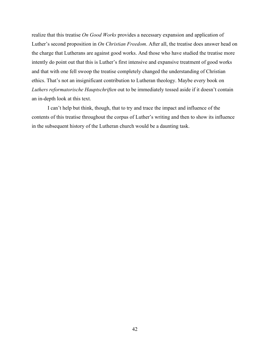realize that this treatise *On Good Works* provides a necessary expansion and application of Luther's second proposition in *On Christian Freedom*. After all, the treatise does answer head on the charge that Lutherans are against good works. And those who have studied the treatise more intently do point out that this is Luther's first intensive and expansive treatment of good works and that with one fell swoop the treatise completely changed the understanding of Christian ethics. That's not an insignificant contribution to Lutheran theology. Maybe every book on *Luthers reformatorische Hauptschriften* out to be immediately tossed aside if it doesn't contain an in-depth look at this text.

I can't help but think, though, that to try and trace the impact and influence of the contents of this treatise throughout the corpus of Luther's writing and then to show its influence in the subsequent history of the Lutheran church would be a daunting task.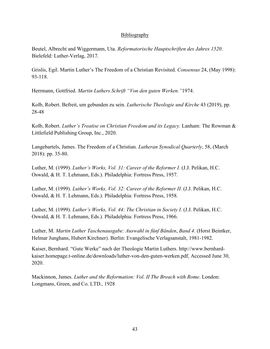# **Bibliography**

Beutel, Albrecht and Wiggermann, Uta. *Reformatorische Hauptschriften des Jahres 1520*. Bielefeld: Luther-Verlag, 2017.

Grislis, Egil. Martin Luther's The Freedom of a Christian Revisited. *Consensus* 24, (May 1998): 93-118.

Herrmann, Gottfried. *Martin Luthers Schrift "Von den guten Werken."*1974.

Kolb, Robert. Befreit, um gebunden zu sein. *Lutherische Theologie und Kirche* 43 (2019), pp. 28-48

Kolb, Robert. *Luther's Treatise on Christian Freedom and its Legacy.* Lanham: The Rowman & Littlefield Publishing Group, Inc., 2020.

Langebartels, James. The Freedom of a Christian. *Lutheran Synodical Quarterly*, 58, (March 2018): pp. 35-80.

Luther, M. (1999). *Luther's Works, Vol. 31: Career of the Reformer I.* (J.J. Pelikan, H.C. Oswald, & H. T. Lehmann, Eds.). Philadelphia: Fortress Press, 1957.

Luther, M. (1999). *Luther's Works, Vol. 32: Career of the Reformer II.* (J.J. Pelikan, H.C. Oswald, & H. T. Lehmann, Eds.). Philadelphia: Fortress Press, 1958.

Luther, M. (1999). *Luther's Works, Vol. 44: The Christian in Society I.* (J.J. Pelikan, H.C. Oswald, & H. T. Lehmann, Eds.). Philadelphia: Fortress Press, 1966.

Luther, M. *Martin Luther Taschenausgabe: Auswahl in fünf Bänden*, *Band 4*. (Horst Beintker, Helmar Junghans, Hubert Kirchner). Berlin: Evangelische Verlagsanstalt, 1981-1982.

Kaiser, Bernhard. "Gute Werke" nach der Theologie Martin Luthers. http://www.bernhardkaiser.homepage.t-online.de/downloads/luther-von-den-guten-werken.pdf. Accessed June 30, 2020.

Mackinnon, James. *Luther and the Reformation: Vol. II The Breach with Rome*. London: Longmans, Green, and Co. LTD., 1928